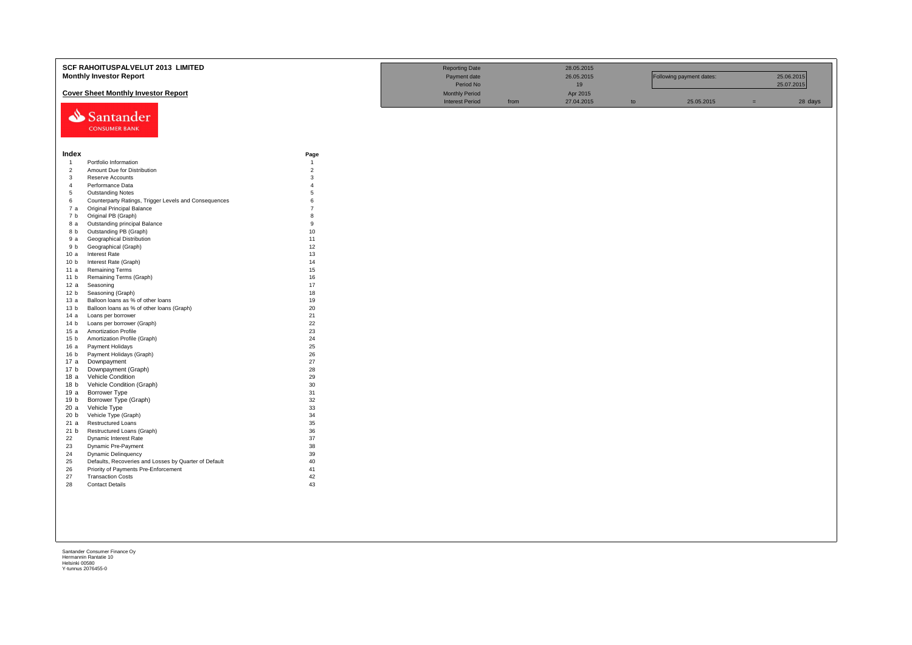|                                  | <b>SCF RAHOITUSPALVELUT 2013 LIMITED</b><br><b>Monthly Investor Report</b>     |                     | <b>Reporting Date</b><br>Payment date<br>Period No |      | 28.05.2015<br>26.05.2015<br>19 |    | Following payment dates: |     | 25.06.2015<br>25.07.2015 |
|----------------------------------|--------------------------------------------------------------------------------|---------------------|----------------------------------------------------|------|--------------------------------|----|--------------------------|-----|--------------------------|
|                                  | <b>Cover Sheet Monthly Investor Report</b>                                     |                     | <b>Monthly Period</b><br><b>Interest Period</b>    | from | Apr 2015<br>27.04.2015         | to | 25.05.2015               | $=$ | 28 days                  |
|                                  | Santander<br><b>CONSUMER BANK</b>                                              |                     |                                                    |      |                                |    |                          |     |                          |
| Index                            |                                                                                | Page                |                                                    |      |                                |    |                          |     |                          |
| $\overline{1}$                   | Portfolio Information                                                          | $\overline{1}$      |                                                    |      |                                |    |                          |     |                          |
| $\overline{2}$                   | Amount Due for Distribution                                                    | $\overline{2}$<br>3 |                                                    |      |                                |    |                          |     |                          |
| $\overline{3}$<br>$\overline{4}$ | Reserve Accounts<br>Performance Data                                           | $\overline{4}$      |                                                    |      |                                |    |                          |     |                          |
| 5                                | <b>Outstanding Notes</b>                                                       | 5                   |                                                    |      |                                |    |                          |     |                          |
| 6                                | Counterparty Ratings, Trigger Levels and Consequences                          | $\mathbf{6}$        |                                                    |      |                                |    |                          |     |                          |
| 7 а                              | Original Principal Balance                                                     | $\overline{7}$      |                                                    |      |                                |    |                          |     |                          |
| 7 b                              | Original PB (Graph)                                                            | 8                   |                                                    |      |                                |    |                          |     |                          |
| 8 a                              | Outstanding principal Balance                                                  | $\mathbf{q}$        |                                                    |      |                                |    |                          |     |                          |
| 8 b                              | Outstanding PB (Graph)                                                         | 10                  |                                                    |      |                                |    |                          |     |                          |
| 9а                               | Geographical Distribution                                                      | 11                  |                                                    |      |                                |    |                          |     |                          |
| 9 b                              | Geographical (Graph)                                                           | 12                  |                                                    |      |                                |    |                          |     |                          |
| 10a                              | Interest Rate                                                                  | 13                  |                                                    |      |                                |    |                          |     |                          |
| 10 <sub>b</sub>                  | Interest Rate (Graph)                                                          | 14                  |                                                    |      |                                |    |                          |     |                          |
| 11 a                             | <b>Remaining Terms</b>                                                         | 15                  |                                                    |      |                                |    |                          |     |                          |
| 11 <sub>b</sub>                  | Remaining Terms (Graph)                                                        | 16                  |                                                    |      |                                |    |                          |     |                          |
| 12 a                             | Seasoning                                                                      | 17                  |                                                    |      |                                |    |                          |     |                          |
| 12 <sub>b</sub>                  | Seasoning (Graph)                                                              | 18<br>19            |                                                    |      |                                |    |                          |     |                          |
| 13 а<br>13 <sub>b</sub>          | Balloon loans as % of other loans<br>Balloon loans as % of other loans (Graph) | 20                  |                                                    |      |                                |    |                          |     |                          |
| 14 a                             | Loans per borrower                                                             | 21                  |                                                    |      |                                |    |                          |     |                          |
| 14 <sub>b</sub>                  | Loans per borrower (Graph)                                                     | 22                  |                                                    |      |                                |    |                          |     |                          |
| 15a                              | <b>Amortization Profile</b>                                                    | 23                  |                                                    |      |                                |    |                          |     |                          |
| 15 <sub>b</sub>                  | Amortization Profile (Graph)                                                   | 24                  |                                                    |      |                                |    |                          |     |                          |
| 16 a                             | Payment Holidays                                                               | 25                  |                                                    |      |                                |    |                          |     |                          |
| 16 <sub>b</sub>                  | Payment Holidays (Graph)                                                       | 26                  |                                                    |      |                                |    |                          |     |                          |
| 17a                              | Downpayment                                                                    | 27                  |                                                    |      |                                |    |                          |     |                          |
| 17 <sub>b</sub>                  | Downpayment (Graph)                                                            | 28                  |                                                    |      |                                |    |                          |     |                          |
| 18 a                             | <b>Vehicle Condition</b>                                                       | 29                  |                                                    |      |                                |    |                          |     |                          |
| 18 b                             | Vehicle Condition (Graph)                                                      | 30                  |                                                    |      |                                |    |                          |     |                          |
| 19a                              | Borrower Type                                                                  | 31                  |                                                    |      |                                |    |                          |     |                          |
| 19 <sub>b</sub><br>20 a          | Borrower Type (Graph)<br>Vehicle Type                                          | 32<br>33            |                                                    |      |                                |    |                          |     |                          |
| 20 <sub>b</sub>                  | Vehicle Type (Graph)                                                           | 34                  |                                                    |      |                                |    |                          |     |                          |
| 21 a                             | Restructured Loans                                                             | 35                  |                                                    |      |                                |    |                          |     |                          |
| 21 b                             | Restructured Loans (Graph)                                                     | 36                  |                                                    |      |                                |    |                          |     |                          |
| 22                               | Dynamic Interest Rate                                                          | 37                  |                                                    |      |                                |    |                          |     |                          |
| 23                               | Dynamic Pre-Payment                                                            | 38                  |                                                    |      |                                |    |                          |     |                          |
| 24                               | Dynamic Delinquency                                                            | 39                  |                                                    |      |                                |    |                          |     |                          |
| 25                               | Defaults, Recoveries and Losses by Quarter of Default                          | 40                  |                                                    |      |                                |    |                          |     |                          |
| 26                               | Priority of Payments Pre-Enforcement                                           | 41                  |                                                    |      |                                |    |                          |     |                          |
| 27                               | <b>Transaction Costs</b>                                                       | 42                  |                                                    |      |                                |    |                          |     |                          |
| 28                               | <b>Contact Details</b>                                                         | 43                  |                                                    |      |                                |    |                          |     |                          |
|                                  |                                                                                |                     |                                                    |      |                                |    |                          |     |                          |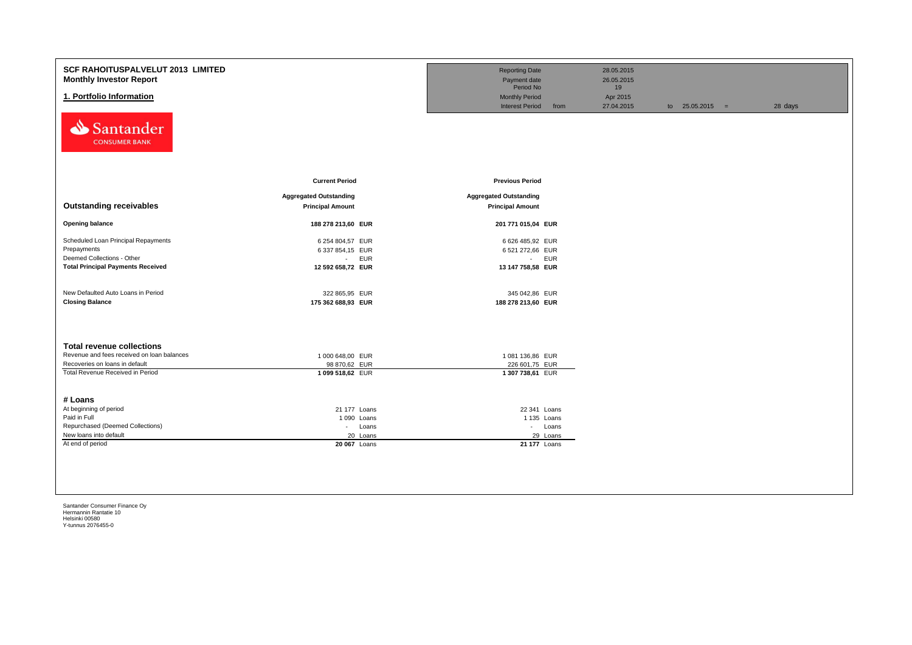| SCF RAHOITUSPALVELUT 2013 LIMITED<br><b>Monthly Investor Report</b><br>1. Portfolio Information |                               | <b>Reporting Date</b><br>Payment date<br>Period No<br><b>Monthly Period</b><br><b>Interest Period</b><br>from | 28.05.2015<br>26.05.2015<br>19<br>Apr 2015<br>27.04.2015 | to $25.05.2015 =$ | 28 days |
|-------------------------------------------------------------------------------------------------|-------------------------------|---------------------------------------------------------------------------------------------------------------|----------------------------------------------------------|-------------------|---------|
| Santander<br><b>CONSUMER BANK</b>                                                               | <b>Current Period</b>         | <b>Previous Period</b>                                                                                        |                                                          |                   |         |
|                                                                                                 | <b>Aggregated Outstanding</b> | <b>Aggregated Outstanding</b>                                                                                 |                                                          |                   |         |
| <b>Outstanding receivables</b>                                                                  | <b>Principal Amount</b>       | <b>Principal Amount</b>                                                                                       |                                                          |                   |         |
| <b>Opening balance</b>                                                                          | 188 278 213,60 EUR            | 201 771 015,04 EUR                                                                                            |                                                          |                   |         |
| Scheduled Loan Principal Repayments                                                             | 6 254 804,57 EUR              | 6 626 485,92 EUR                                                                                              |                                                          |                   |         |
| Prepayments                                                                                     | 6 337 854,15 EUR              | 6 521 272,66 EUR                                                                                              |                                                          |                   |         |
| Deemed Collections - Other                                                                      | <b>EUR</b><br>$\sim 100$      | - EUR                                                                                                         |                                                          |                   |         |
| <b>Total Principal Payments Received</b>                                                        | 12 592 658,72 EUR             | 13 147 758,58 EUR                                                                                             |                                                          |                   |         |
| New Defaulted Auto Loans in Period                                                              | 322 865,95 EUR                | 345 042,86 EUR                                                                                                |                                                          |                   |         |
| <b>Closing Balance</b>                                                                          | 175 362 688,93 EUR            | 188 278 213,60 EUR                                                                                            |                                                          |                   |         |
| <b>Total revenue collections</b>                                                                |                               |                                                                                                               |                                                          |                   |         |
| Revenue and fees received on loan balances                                                      | 1 000 648,00 EUR              | 1 081 136,86 EUR                                                                                              |                                                          |                   |         |
| Recoveries on loans in default                                                                  | 98 870,62 EUR                 | 226 601,75 EUR                                                                                                |                                                          |                   |         |
| Total Revenue Received in Period<br># Loans                                                     | 1 099 518,62 EUR              | 1 307 738,61 EUR                                                                                              |                                                          |                   |         |
| At beginning of period                                                                          | 21 177 Loans                  | 22 341 Loans                                                                                                  |                                                          |                   |         |
| Paid in Full                                                                                    | 1 090 Loans                   | 1 135 Loans                                                                                                   |                                                          |                   |         |
| Repurchased (Deemed Collections)                                                                | Loans<br>$\sim$               | - Loans                                                                                                       |                                                          |                   |         |
| New loans into default                                                                          | 20 Loans                      | 29 Loans                                                                                                      |                                                          |                   |         |
| At end of period                                                                                | 20 067 Loans                  | 21 177 Loans                                                                                                  |                                                          |                   |         |
|                                                                                                 |                               |                                                                                                               |                                                          |                   |         |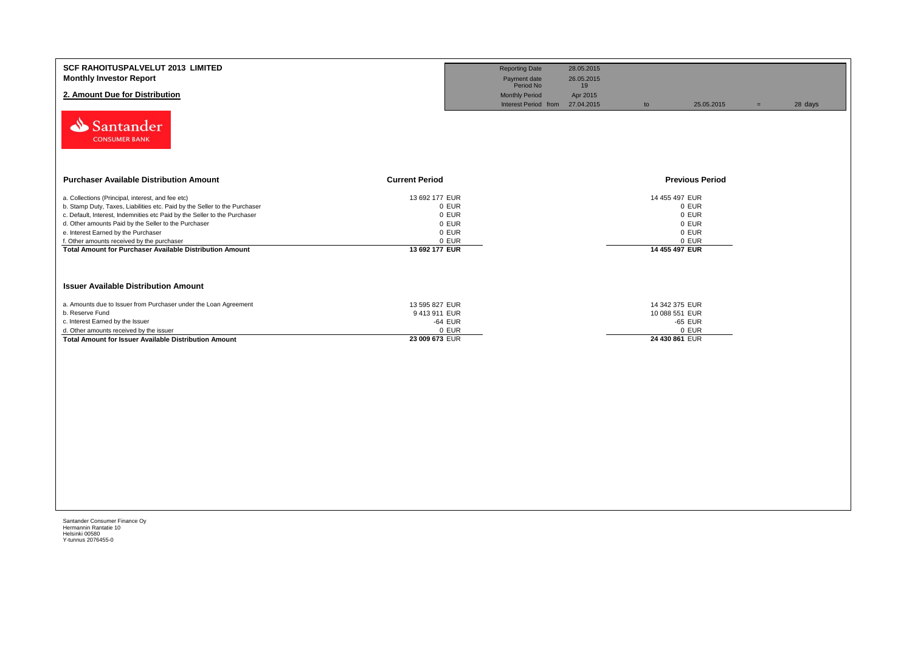| <b>SCF RAHOITUSPALVELUT 2013 LIMITED</b><br><b>Monthly Investor Report</b><br>2. Amount Due for Distribution<br>Santander<br><b>CONSUMER BANK</b>                                                                                                                                                                                                                                                                     |                                                                               | <b>Reporting Date</b><br>Payment date<br>Period No<br><b>Monthly Period</b><br>Interest Period from 27.04.2015 | 28.05.2015<br>26.05.2015<br>19<br>Apr 2015 | to                               | 25.05.2015                                | $=$ | 28 days |
|-----------------------------------------------------------------------------------------------------------------------------------------------------------------------------------------------------------------------------------------------------------------------------------------------------------------------------------------------------------------------------------------------------------------------|-------------------------------------------------------------------------------|----------------------------------------------------------------------------------------------------------------|--------------------------------------------|----------------------------------|-------------------------------------------|-----|---------|
| <b>Purchaser Available Distribution Amount</b><br><b>Current Period</b>                                                                                                                                                                                                                                                                                                                                               |                                                                               |                                                                                                                |                                            |                                  | <b>Previous Period</b>                    |     |         |
| a. Collections (Principal, interest, and fee etc)<br>b. Stamp Duty, Taxes, Liabilities etc. Paid by the Seller to the Purchaser<br>c. Default, Interest, Indemnities etc Paid by the Seller to the Purchaser<br>d. Other amounts Paid by the Seller to the Purchaser<br>e. Interest Earned by the Purchaser<br>f. Other amounts received by the purchaser<br>Total Amount for Purchaser Available Distribution Amount | 13 692 177 EUR<br>0 EUR<br>0 EUR<br>0 EUR<br>0 EUR<br>0 EUR<br>13 692 177 EUR |                                                                                                                |                                            | 14 455 497 EUR<br>14 455 497 EUR | 0 EUR<br>0 EUR<br>0 EUR<br>0 EUR<br>0 EUR |     |         |
| <b>Issuer Available Distribution Amount</b><br>a. Amounts due to Issuer from Purchaser under the Loan Agreement<br>b. Reserve Fund                                                                                                                                                                                                                                                                                    | 13 595 827 EUR<br>9413911 EUR                                                 |                                                                                                                |                                            | 14 342 375 EUR<br>10 088 551 EUR |                                           |     |         |
| c. Interest Earned by the Issuer<br>d. Other amounts received by the issuer<br>Total Amount for Issuer Available Distribution Amount                                                                                                                                                                                                                                                                                  | -64 EUR<br>0 EUR<br>23 009 673 EUR                                            |                                                                                                                |                                            | -65 EUR<br>24 430 861 EUR        | 0 EUR                                     |     |         |
|                                                                                                                                                                                                                                                                                                                                                                                                                       |                                                                               |                                                                                                                |                                            |                                  |                                           |     |         |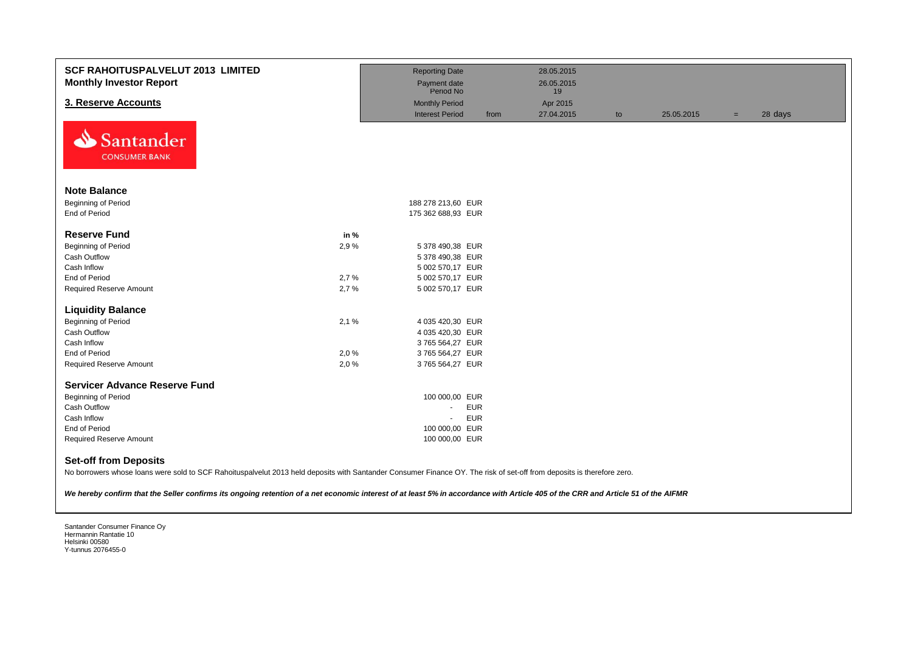| <b>SCF RAHOITUSPALVELUT 2013 LIMITED</b><br><b>Monthly Investor Report</b> |      | <b>Reporting Date</b><br>Payment date |      | 28.05.2015<br>26.05.2015 |    |            |     |         |
|----------------------------------------------------------------------------|------|---------------------------------------|------|--------------------------|----|------------|-----|---------|
|                                                                            |      | Period No                             |      | 19                       |    |            |     |         |
| 3. Reserve Accounts                                                        |      | <b>Monthly Period</b>                 |      | Apr 2015                 |    |            |     |         |
| ∾<br>Santander<br><b>CONSUMER BANK</b>                                     |      | <b>Interest Period</b>                | from | 27.04.2015               | to | 25.05.2015 | $=$ | 28 days |
| <b>Note Balance</b>                                                        |      |                                       |      |                          |    |            |     |         |
| Beginning of Period                                                        |      | 188 278 213,60 EUR                    |      |                          |    |            |     |         |
| End of Period                                                              |      | 175 362 688,93 EUR                    |      |                          |    |            |     |         |
|                                                                            |      |                                       |      |                          |    |            |     |         |
| <b>Reserve Fund</b>                                                        | in % |                                       |      |                          |    |            |     |         |
| <b>Beginning of Period</b>                                                 | 2,9% | 5 378 490,38 EUR                      |      |                          |    |            |     |         |
| Cash Outflow                                                               |      | 5 378 490,38 EUR                      |      |                          |    |            |     |         |
| Cash Inflow                                                                |      | 5 002 570,17 EUR                      |      |                          |    |            |     |         |
| End of Period                                                              | 2,7% | 5 002 570,17 EUR                      |      |                          |    |            |     |         |
| Required Reserve Amount                                                    | 2,7% | 5 002 570,17 EUR                      |      |                          |    |            |     |         |
| <b>Liquidity Balance</b>                                                   |      |                                       |      |                          |    |            |     |         |
| <b>Beginning of Period</b>                                                 | 2,1% | 4 035 420,30 EUR                      |      |                          |    |            |     |         |
| Cash Outflow                                                               |      | 4 035 420,30 EUR                      |      |                          |    |            |     |         |
| Cash Inflow                                                                |      | 3765 564,27 EUR                       |      |                          |    |            |     |         |
| End of Period                                                              | 2,0% | 3765 564,27 EUR                       |      |                          |    |            |     |         |
| <b>Required Reserve Amount</b>                                             | 2,0% | 3765 564,27 EUR                       |      |                          |    |            |     |         |
| <b>Servicer Advance Reserve Fund</b>                                       |      |                                       |      |                          |    |            |     |         |
| <b>Beginning of Period</b>                                                 |      | 100 000,00 EUR                        |      |                          |    |            |     |         |
| Cash Outflow                                                               |      | <b>EUR</b><br>$\sim$                  |      |                          |    |            |     |         |
| Cash Inflow                                                                |      | <b>EUR</b><br>$\sim$                  |      |                          |    |            |     |         |
| End of Period                                                              |      | 100 000,00 EUR                        |      |                          |    |            |     |         |
| <b>Required Reserve Amount</b>                                             |      | 100 000,00 EUR                        |      |                          |    |            |     |         |
| <b>Set-off from Deposits</b>                                               |      |                                       |      |                          |    |            |     |         |

No borrowers whose loans were sold to SCF Rahoituspalvelut 2013 held deposits with Santander Consumer Finance OY. The risk of set-off from deposits is therefore zero.

*We hereby confirm that the Seller confirms its ongoing retention of a net economic interest of at least 5% in accordance with Article 405 of the CRR and Article 51 of the AIFMR*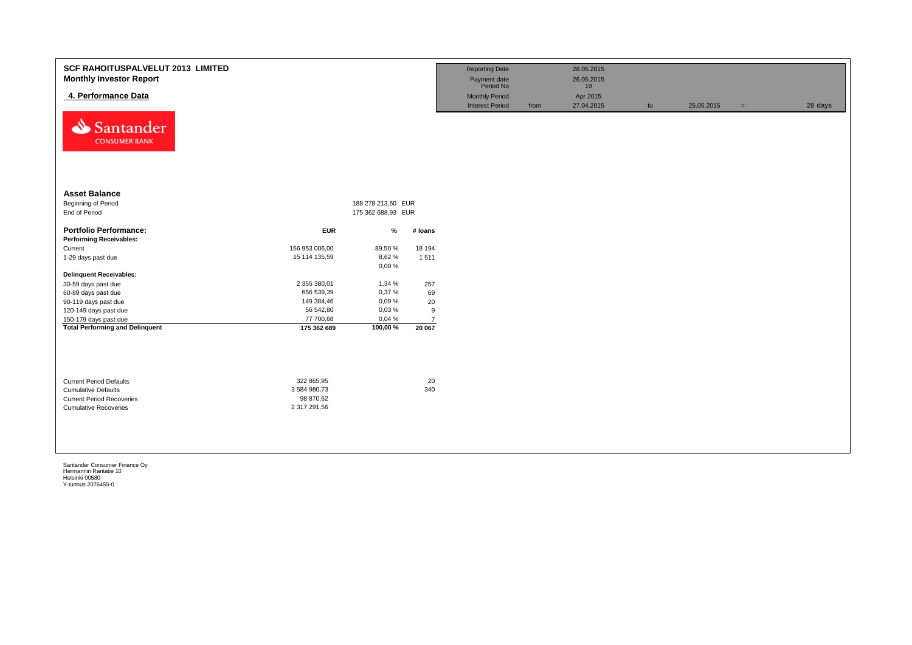| SCF RAHOITUSPALVELUT 2013 LIMITED<br><b>Monthly Investor Report</b><br>4. Performance Data<br>Santander<br>⇘<br><b>CONSUMER BANK</b> |                            |                    |                          | <b>Reporting Date</b><br>Payment date<br>Period No<br><b>Monthly Period</b><br><b>Interest Period</b> | from | 28.05.2015<br>26.05.2015<br>19<br>Apr 2015<br>27.04.2015 | to | 25.05.2015 | $=$ | 28 days |
|--------------------------------------------------------------------------------------------------------------------------------------|----------------------------|--------------------|--------------------------|-------------------------------------------------------------------------------------------------------|------|----------------------------------------------------------|----|------------|-----|---------|
| <b>Asset Balance</b>                                                                                                                 |                            |                    |                          |                                                                                                       |      |                                                          |    |            |     |         |
| Beginning of Period                                                                                                                  |                            | 188 278 213,60 EUR |                          |                                                                                                       |      |                                                          |    |            |     |         |
| End of Period                                                                                                                        |                            | 175 362 688,93 EUR |                          |                                                                                                       |      |                                                          |    |            |     |         |
| <b>Portfolio Performance:</b>                                                                                                        | <b>EUR</b>                 | %                  | # loans                  |                                                                                                       |      |                                                          |    |            |     |         |
| <b>Performing Receivables:</b>                                                                                                       |                            |                    |                          |                                                                                                       |      |                                                          |    |            |     |         |
| Current                                                                                                                              | 156 953 006,00             | 89,50 %            | 18 194                   |                                                                                                       |      |                                                          |    |            |     |         |
| 1-29 days past due                                                                                                                   | 15 114 135,59              | 8,62%              | 1511                     |                                                                                                       |      |                                                          |    |            |     |         |
|                                                                                                                                      |                            | 0,00%              |                          |                                                                                                       |      |                                                          |    |            |     |         |
| <b>Delinquent Receivables:</b>                                                                                                       |                            |                    |                          |                                                                                                       |      |                                                          |    |            |     |         |
| 30-59 days past due                                                                                                                  | 2 355 380,01               | 1,34 %             | 257                      |                                                                                                       |      |                                                          |    |            |     |         |
| 60-89 days past due                                                                                                                  | 656 539,39                 | 0,37%              | 69                       |                                                                                                       |      |                                                          |    |            |     |         |
| 90-119 days past due                                                                                                                 | 149 384,46                 | 0,09%              | 20                       |                                                                                                       |      |                                                          |    |            |     |         |
| 120-149 days past due                                                                                                                | 56 542,80                  | 0,03%              | 9                        |                                                                                                       |      |                                                          |    |            |     |         |
| 150-179 days past due<br><b>Total Performing and Delinquent</b>                                                                      | 77 700,68<br>175 362 689   | 0,04 %<br>100,00%  | $\overline{7}$<br>20 067 |                                                                                                       |      |                                                          |    |            |     |         |
|                                                                                                                                      |                            |                    |                          |                                                                                                       |      |                                                          |    |            |     |         |
| <b>Current Period Defaults</b><br><b>Cumulative Defaults</b>                                                                         | 322 865,95<br>3 584 980,73 |                    | 20<br>340                |                                                                                                       |      |                                                          |    |            |     |         |
| <b>Current Period Recoveries</b>                                                                                                     | 98 870,62                  |                    |                          |                                                                                                       |      |                                                          |    |            |     |         |
| <b>Cumulative Recoveries</b>                                                                                                         | 2 317 291,56               |                    |                          |                                                                                                       |      |                                                          |    |            |     |         |
|                                                                                                                                      |                            |                    |                          |                                                                                                       |      |                                                          |    |            |     |         |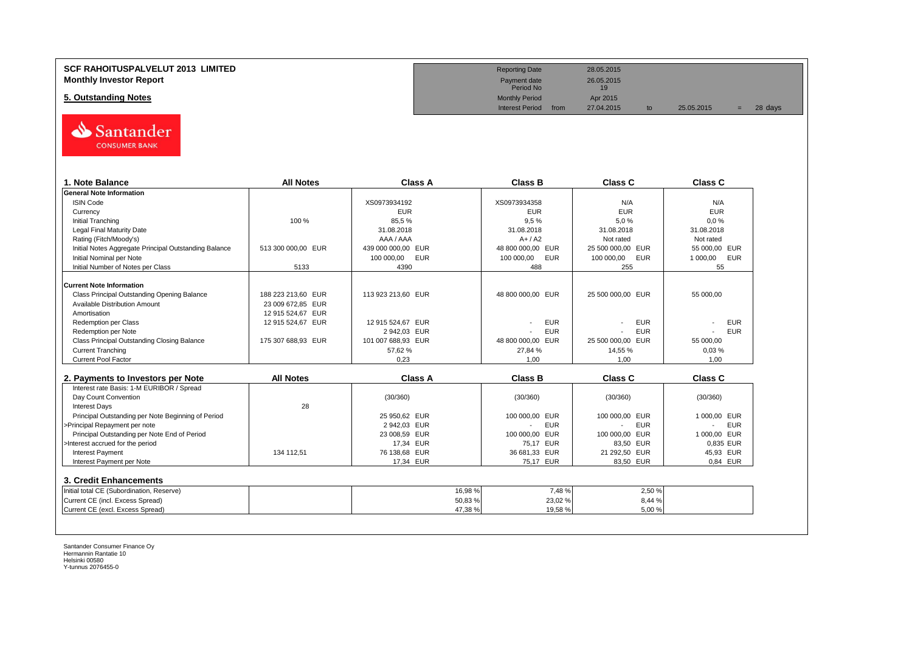

| 1. Note Balance                                       | <b>All Notes</b>   | <b>Class A</b>           | <b>Class B</b>               | <b>Class C</b>           | Class C                |
|-------------------------------------------------------|--------------------|--------------------------|------------------------------|--------------------------|------------------------|
| <b>General Note Information</b>                       |                    |                          |                              |                          |                        |
| <b>ISIN Code</b>                                      |                    | XS0973934192             | XS0973934358                 | N/A                      | N/A                    |
| Currency                                              |                    | <b>EUR</b>               | <b>EUR</b>                   | <b>EUR</b>               | <b>EUR</b>             |
| <b>Initial Tranching</b>                              | 100 %              | 85,5%                    | 9,5%                         | 5,0%                     | 0.0%                   |
| <b>Legal Final Maturity Date</b>                      |                    | 31.08.2018               | 31.08.2018                   | 31.08.2018               | 31.08.2018             |
| Rating (Fitch/Moody's)                                |                    | AAA / AAA                | $A+ / A2$                    | Not rated                | Not rated              |
| Initial Notes Aggregate Principal Outstanding Balance | 513 300 000.00 EUR | 439 000 000,00 EUR       | 48 800 000,00 EUR            | 25 500 000,00 EUR        | 55 000.00 EUR          |
| Initial Nominal per Note                              |                    | 100 000,00<br><b>EUR</b> | <b>EUR</b><br>100 000,00     | 100 000,00<br><b>EUR</b> | <b>EUR</b><br>1 000,00 |
| Initial Number of Notes per Class                     | 5133               | 4390                     | 488                          | 255                      | 55                     |
| <b>Current Note Information</b>                       |                    |                          |                              |                          |                        |
| Class Principal Outstanding Opening Balance           | 188 223 213.60 EUR | 113 923 213.60 EUR       | 48 800 000.00 EUR            | 25 500 000.00 EUR        | 55 000.00              |
| Available Distribution Amount                         | 23 009 672.85 EUR  |                          |                              |                          |                        |
| Amortisation                                          | 12 915 524,67 EUR  |                          |                              |                          |                        |
| <b>Redemption per Class</b>                           | 12 915 524,67 EUR  | 12 915 524,67 EUR        | <b>EUR</b>                   | <b>EUR</b>               | <b>EUR</b>             |
| Redemption per Note                                   |                    | 2 942,03 EUR             | <b>EUR</b>                   | <b>EUR</b>               | <b>EUR</b>             |
| Class Principal Outstanding Closing Balance           | 175 307 688,93 EUR | 101 007 688,93 EUR       | 48 800 000,00 EUR            | 25 500 000.00 EUR        | 55 000.00              |
| <b>Current Tranching</b>                              |                    | 57.62%                   | 27,84 %                      | 14,55 %                  | 0,03%                  |
| <b>Current Pool Factor</b>                            |                    | 0.23                     | 1.00                         | 1.00                     | 1.00                   |
|                                                       | <b>All Notes</b>   | <b>Class A</b>           | <b>Class B</b>               | <b>Class C</b>           | <b>Class C</b>         |
| 2. Payments to Investors per Note                     |                    |                          |                              |                          |                        |
| Interest rate Basis: 1-M EURIBOR / Spread             |                    |                          |                              |                          |                        |
| Day Count Convention                                  |                    | (30/360)                 | (30/360)                     | (30/360)                 | (30/360)               |
| <b>Interest Days</b>                                  | 28                 |                          |                              |                          |                        |
| Principal Outstanding per Note Beginning of Period    |                    | 25 950.62 EUR            | 100 000.00 EUR               | 100 000.00 EUR           | 1 000.00 EUR           |
| >Principal Repayment per note                         |                    | 2 942,03 EUR             | <b>EUR</b><br>$\overline{a}$ | <b>EUR</b>               | <b>EUR</b>             |
| Principal Outstanding per Note End of Period          |                    | 23 008,59 EUR            | 100 000,00<br><b>EUR</b>     | 100 000,00 EUR           | 1 000.00 EUR           |
| >Interest accrued for the period                      |                    | 17,34 EUR                | 75,17 EUR                    | 83,50 EUR                | 0,835 EUR              |
| <b>Interest Payment</b>                               | 134 112,51         | 76 138,68 EUR            | 36 681,33 EUR                | 21 292,50 EUR            | 45,93 EUR              |
| Interest Payment per Note                             |                    | 17,34 EUR                | 75,17 EUR                    | 83,50 EUR                | 0.84 EUR               |
| 3. Credit Enhancements                                |                    |                          |                              |                          |                        |
| Initial total CE (Subordination, Reserve)             |                    | 16,98%                   | 7,48 %                       | 2,50%                    |                        |
|                                                       |                    | 50,83%                   | 23,02%                       | 8,44 %                   |                        |
| Current CE (incl. Excess Spread)                      |                    |                          |                              |                          |                        |

**SCF RAHOITUSPALVELUT 2013 LIMITED** 28.05.2015 **Monthly Investor Report**<br> **Monthly Investor Report** 26.05.2015<br>
Payment date 26.05.2015<br>
Period No Payment date<br>Period No **5. Outstanding Notes Monthly Period Apr 2015**<br> **1. Outstanding Notes Apr 2015**<br>
Interest Period from 27.04.2015 Interest Period from 27.04.2015 to 25.05.2015 = 28 days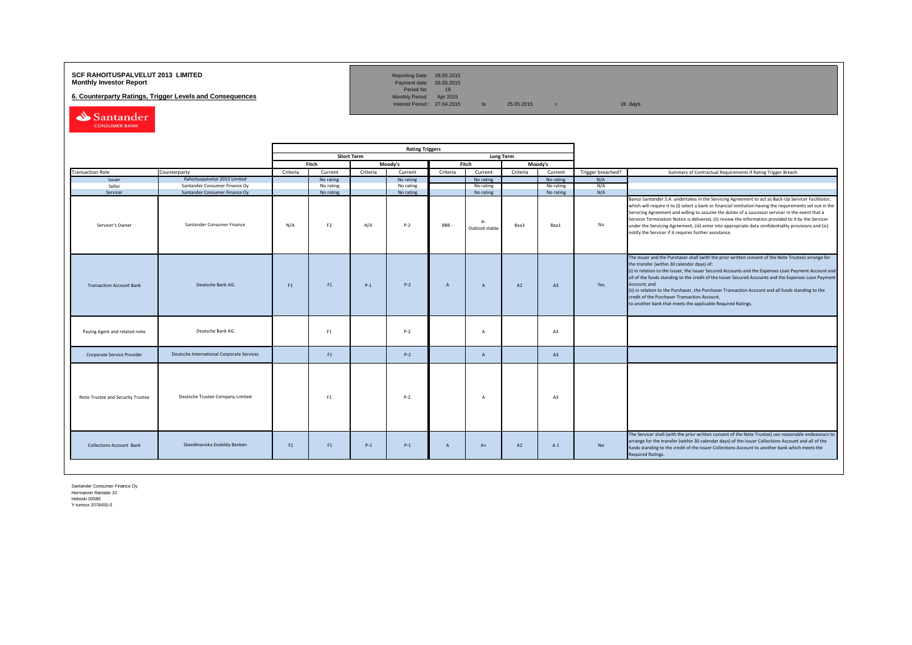## **SCF RAHOITUSPALVELUT 2013 LIMITED**<br>**Monthly Investor Report** Payment date 26.05.2015

**6. Counterparty Ratings, Trigger Levels and Consequences** 

Reporting Date 28.05.2015<br>Payment date 26.05.2015<br>Period No 19<br>Monthly Period Apr 2015

Interest Period:  $27.04.2015$  to  $25.05.2015$  = 28 days

Santander CONSUMER BANK

|                                   |                                           |          | <b>Rating Triggers</b> |                   |           |              |                        |                  |           |                   |                                                                                                                                                                                                                                                                                                                                                                                                                                                                                                                                                                                                        |
|-----------------------------------|-------------------------------------------|----------|------------------------|-------------------|-----------|--------------|------------------------|------------------|-----------|-------------------|--------------------------------------------------------------------------------------------------------------------------------------------------------------------------------------------------------------------------------------------------------------------------------------------------------------------------------------------------------------------------------------------------------------------------------------------------------------------------------------------------------------------------------------------------------------------------------------------------------|
|                                   |                                           |          |                        | <b>Short Term</b> |           |              |                        | <b>Long Term</b> |           |                   |                                                                                                                                                                                                                                                                                                                                                                                                                                                                                                                                                                                                        |
|                                   |                                           |          | Fitch                  |                   | Moody's   |              | Fitch                  |                  | Moody's   |                   |                                                                                                                                                                                                                                                                                                                                                                                                                                                                                                                                                                                                        |
| <b>Transaction Role</b>           | Counterparty                              | Criteria | Current                | Criteria          | Current   | Criteria     | Current                | Criteria         | Current   | Trigger breached? | Summary of Contractual Requirements if Rating Trigger Breach                                                                                                                                                                                                                                                                                                                                                                                                                                                                                                                                           |
| Issuer                            | Rahoituspalvelut 2013 Limited             |          | No rating              |                   | No rating |              | No rating              |                  | No rating | N/A               |                                                                                                                                                                                                                                                                                                                                                                                                                                                                                                                                                                                                        |
| Seller                            | Santander Consumer Finance Oy             |          | No rating              |                   | No rating |              | No rating              |                  | No rating | N/A               |                                                                                                                                                                                                                                                                                                                                                                                                                                                                                                                                                                                                        |
| Servicer                          | Santander Consumer Finance Oy             |          | No rating              |                   | No rating |              | No rating              |                  | No rating | N/A               |                                                                                                                                                                                                                                                                                                                                                                                                                                                                                                                                                                                                        |
| Servicer's Owner                  | Santander Consumer Finance                | N/A      | F <sub>2</sub>         | N/A               | $P-2$     | BBB-         | $A-$<br>Outlook stable | Baa3             | Baa1      | <b>No</b>         | Banco Santander S.A. undertakes in the Servicing Agreement to act as Back-Up Servicer Facilitator,<br>which will require it to (i) select a bank or financial institution having the requirements set out in the<br>Servicing Agreement and willing to assume the duties of a successor servicer in the event that a<br>Servicer Termination Notice is delivered, (ii) review the information provided to it by the Servicer<br>under the Servicing Agreement, (iii) enter into appropriate data confidentiality provisions and (iv)<br>notify the Servicer if it requires further assistance.         |
| <b>Transaction Account Bank</b>   | Deutsche Bank AG                          | F1       | F1                     | $P-1$             | $P-2$     | $\mathsf{A}$ | $\mathsf{A}$           | A2               | A3        | Yes               | The Issuer and the Purchaser shall (with the prior written consent of the Note Trustee) arrange for<br>the transfer (within 30 calendar days) of:<br>(i) in relation to the Issuer, the Issuer Secured Accounts and the Expenses Loan Payment Account and<br>all of the funds standing to the credit of the Issuer Secured Accounts and the Expenses Loan Payment<br>Account; and<br>(ii) in relation to the Purchaser, the Purchaser Transaction Account and all funds standing to the<br>credit of the Purchaser Transaction Account,<br>to another bank that meets the applicable Required Ratings. |
| Paying Agent and related roles    | Deutsche Bank AG                          |          | F1                     |                   | $P-2$     |              | A                      |                  | A3        |                   |                                                                                                                                                                                                                                                                                                                                                                                                                                                                                                                                                                                                        |
| Corporate Service Provider        | Deutsche International Corporate Services |          | F1                     |                   | $P-2$     |              | $\overline{A}$         |                  | A3        |                   |                                                                                                                                                                                                                                                                                                                                                                                                                                                                                                                                                                                                        |
| Note Trustee and Security Trustee | Deutsche Trustee Company Limited          |          | F1                     |                   | $P-2$     |              | A                      |                  | A3        |                   |                                                                                                                                                                                                                                                                                                                                                                                                                                                                                                                                                                                                        |
| <b>Collections Account Bank</b>   | Skandinaviska Enskilda Banken             | F1       | F <sub>1</sub>         | $P-1$             | $P-1$     | $\mathsf{A}$ | $A+$                   | A2               | A 1       | No                | The Servicer shall (with the prior written consent of the Note Trustee) use reasonable endeavours to<br>arrange for the transfer (within 30 calendar days) of the Issuer Collections Account and all of the<br>funds standing to the credit of the Issuer Collections Account to another bank which meets the<br>Required Ratings.                                                                                                                                                                                                                                                                     |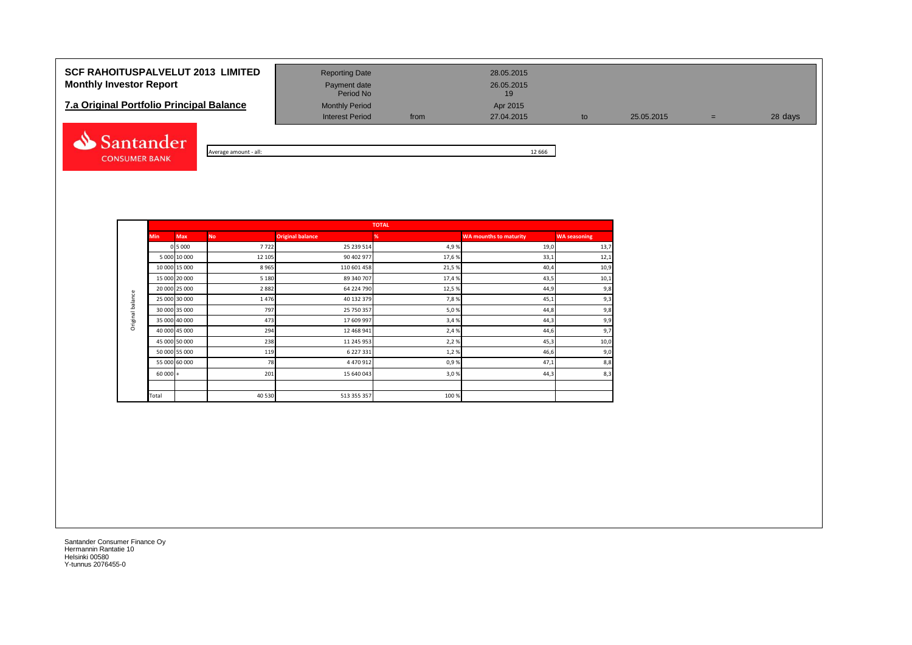# **SCF RAHOITUSPALVELUT 2013 LIMITED** Reporting Date 28.05.2015 **Monthly Investor Report Payment date** Payment date 26.05.2015

# **7.a Original Portfolio Principal Balance** Monthly Period **Apr 2015**<br>Interest Period **Apr 2015 Apr 2015 Apr 2015**



Average amount - all: 12 666

Interest Period from 27.04.2015 to 25.05.2015 = 28 days

|            |               |           |                         | <b>TOTAL</b> |                               |                     |
|------------|---------------|-----------|-------------------------|--------------|-------------------------------|---------------------|
| <b>Min</b> | <b>Max</b>    | <b>No</b> | <b>Original balance</b> | %            | <b>WA mounths to maturity</b> | <b>WA seasoning</b> |
|            | 0 5 0 0 0     | 7722      | 25 239 514              | 4,9%         | 19,0                          | 13,7                |
|            | 5 000 10 000  | 12 105    | 90 402 977              | 17,6 %       | 33,1                          | 12,1                |
|            | 10 000 15 000 | 8965      | 110 601 458             | 21,5%        | 40,4                          | 10,9                |
|            | 15 000 20 000 | 5 1 8 0   | 89 340 707              | 17,4 %       | 43,5                          | 10,1                |
|            | 20 000 25 000 | 2882      | 64 224 790              | 12,5%        | 44,9                          | 9,8                 |
|            | 25 000 30 000 | 1476      | 40 132 379              | 7,8%         | 45,1                          | 9,3                 |
|            | 30 000 35 000 | 797       | 25 750 357              | 5,0%         | 44,8                          | 9,8                 |
|            | 35 000 40 000 | 473       | 17 609 997              | 3,4%         | 44,3                          | 9,9                 |
|            | 40 000 45 000 | 294       | 12 468 941              | 2,4 %        | 44,6                          | 9,7                 |
|            | 45 000 50 000 | 238       | 11 245 953              | 2,2%         | 45,3                          | 10,0                |
|            | 50 000 55 000 | 119       | 6 227 331               | 1,2%         | 46,6                          | 9,0                 |
|            | 55 000 60 000 | 78        | 4 470 912               | 0,9%         | 47,1                          | 8,8                 |
| $60000 +$  |               | 201       | 15 640 043              | 3,0%         | 44,3                          | 8,3                 |
|            |               |           |                         |              |                               |                     |
| Total      |               | 40 530    | 513 355 357             | 100 %        |                               |                     |

Period No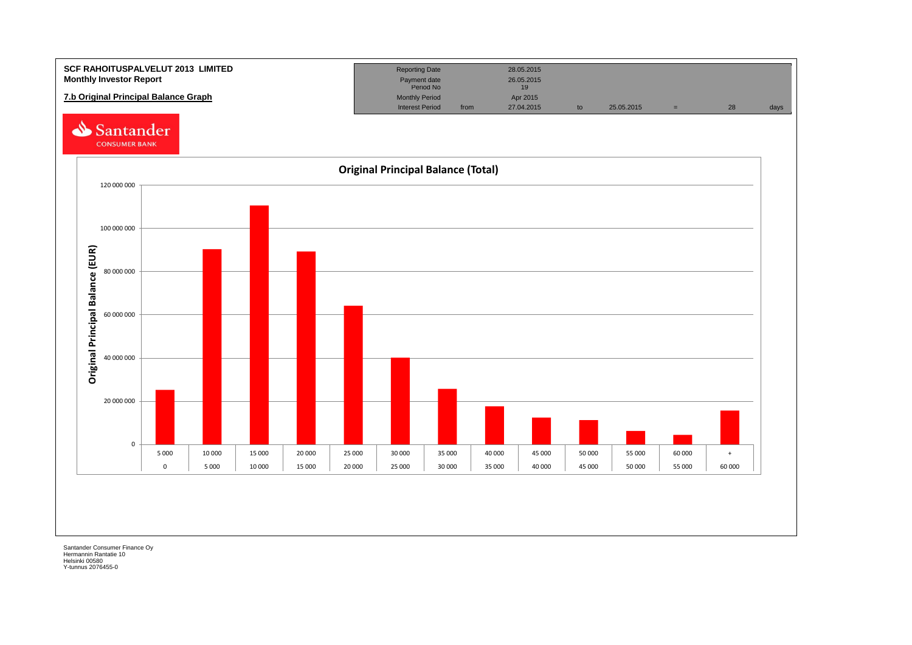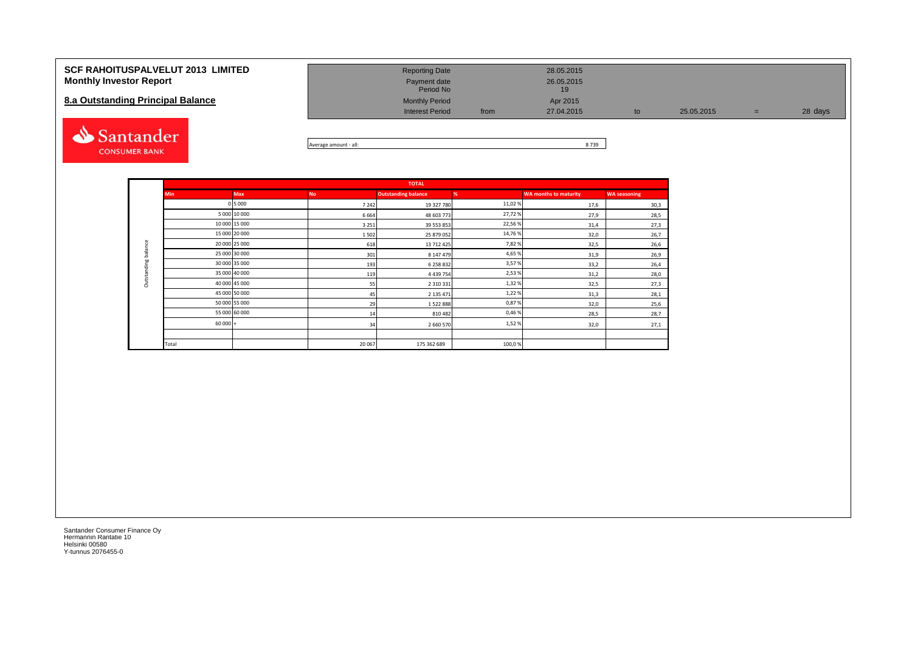| <b>SCF RAHOITUSPALVELUT 2013 LIMITED</b><br><b>Monthly Investor Report</b><br>8.a Outstanding Principal Balance | <b>Reporting Date</b><br>Payment date<br>Period No<br><b>Monthly Period</b><br><b>Interest Period</b> | from | 28.05.2015<br>26.05.2015<br>19<br>Apr 2015<br>27.04.2015 | 25.05.2015 | $=$ | 28 days |
|-----------------------------------------------------------------------------------------------------------------|-------------------------------------------------------------------------------------------------------|------|----------------------------------------------------------|------------|-----|---------|
| Santander                                                                                                       |                                                                                                       |      | 0.700                                                    |            |     |         |



|                     |            |               |           | <b>TOTAL</b>               |         |                              |                     |  |  |  |  |
|---------------------|------------|---------------|-----------|----------------------------|---------|------------------------------|---------------------|--|--|--|--|
|                     | <b>Min</b> | <b>Max</b>    | <b>No</b> | <b>Outstanding balance</b> | %       | <b>WA months to maturity</b> | <b>WA seasoning</b> |  |  |  |  |
|                     |            | 0 5 0 0 0     | 7 2 4 2   | 19 327 780                 | 11,02 % | 17,6                         | 30,3                |  |  |  |  |
|                     |            | 5 000 10 000  | 6664      | 48 603 773                 | 27,72%  | 27,9                         | 28,5                |  |  |  |  |
|                     |            | 10 000 15 000 | 3 2 5 1   | 39 553 853                 | 22,56%  | 31,4                         | 27,3                |  |  |  |  |
|                     |            | 15 000 20 000 | 1502      | 25 879 052                 | 14,76 % | 32,0                         | 26,7                |  |  |  |  |
|                     |            | 20 000 25 000 | 618       | 13 712 425                 | 7,82%   | 32,5                         | 26,6                |  |  |  |  |
| Outstanding balance |            | 25 000 30 000 | 301       | 8 147 479                  | 4,65%   | 31,9                         | 26,9                |  |  |  |  |
|                     |            | 30 000 35 000 | 193       | 6 258 832                  | 3,57%   | 33,2                         | 26,4                |  |  |  |  |
|                     |            | 35 000 40 000 | 119       | 4 4 3 9 7 5 4              | 2,53%   | 31,2                         | 28,0                |  |  |  |  |
|                     |            | 40 000 45 000 | 55        | 2 3 1 0 3 3 1              | 1,32%   | 32,5                         | 27,3                |  |  |  |  |
|                     |            | 45 000 50 000 | 45        | 2 135 471                  | 1,22%   | 31,3                         | 28,1                |  |  |  |  |
|                     |            | 50 000 55 000 | 29        | 1522888                    | 0,87%   | 32,0                         | 25,6                |  |  |  |  |
|                     |            | 55 000 60 000 | 14        | 810482                     | 0,46%   | 28,5                         | 28,7                |  |  |  |  |
|                     | $60000 +$  |               | 34        | 2 660 570                  | 1,52%   | 32,0                         | 27,1                |  |  |  |  |
|                     |            |               |           |                            |         |                              |                     |  |  |  |  |
|                     | Total      |               | 20 067    | 175 362 689                | 100,0%  |                              |                     |  |  |  |  |

**CONSUMER BANK**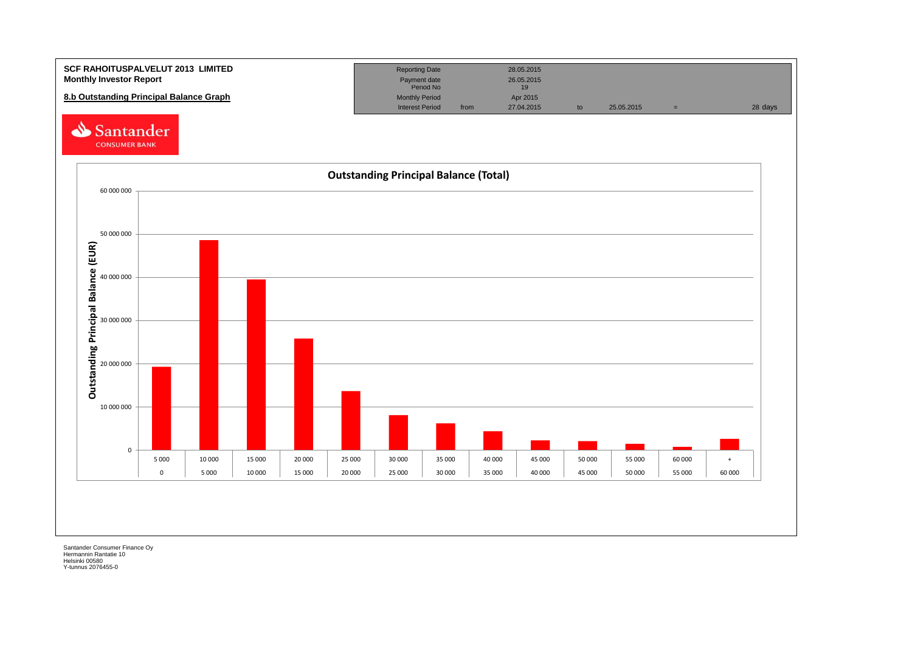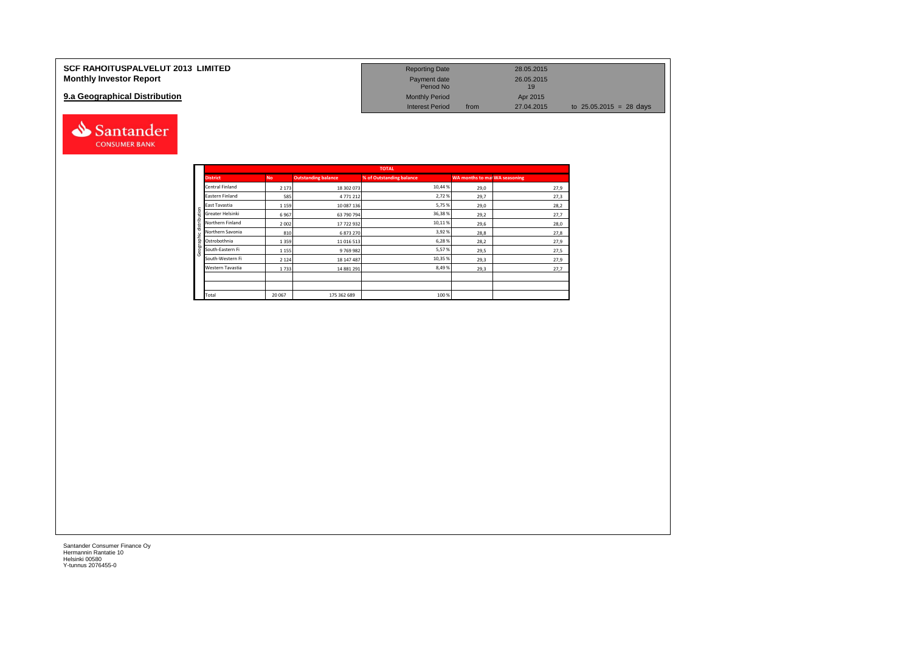| <b>SCF RAHOITUSPALVELUT 2013 LIMITED</b> | <b>Reporting Date</b>     |      | 28.05.2015       |                           |
|------------------------------------------|---------------------------|------|------------------|---------------------------|
| <b>Monthly Investor Report</b>           | Payment date<br>Period No |      | 26.05.2015<br>19 |                           |
| 9.a Geographical Distribution            | <b>Monthly Period</b>     |      | Apr 2015         |                           |
|                                          | <b>Interest Period</b>    | from | 27.04.2015       | to $25.05.2015 = 28$ days |



|                  | TUTAL     |                            |                          |                                      |      |  |  |  |  |  |  |  |
|------------------|-----------|----------------------------|--------------------------|--------------------------------------|------|--|--|--|--|--|--|--|
| <b>District</b>  | <b>No</b> | <b>Outstanding balance</b> | % of Outstanding balance | <b>WA months to mai WA seasoning</b> |      |  |  |  |  |  |  |  |
| Central Finland  | 2 1 7 3   | 18 302 073                 | 10,44 %                  | 29,0                                 | 27,9 |  |  |  |  |  |  |  |
| Eastern Finland  | 585       | 4771212                    | 2,72%                    | 29,7                                 | 27,3 |  |  |  |  |  |  |  |
| East Tavastia    | 1 1 5 9   | 10 087 136                 | 5,75%                    | 29,0                                 | 28,2 |  |  |  |  |  |  |  |
| Greater Helsinki | 6967      | 63 790 794                 | 36,38%                   | 29,2                                 | 27,7 |  |  |  |  |  |  |  |
| Northern Finland | 2002      | 17722932                   | 10,11%                   | 29,6                                 | 28,0 |  |  |  |  |  |  |  |
| Northern Savonia | 810       | 6873270                    | 3,92%                    | 28,8                                 | 27,8 |  |  |  |  |  |  |  |
| Ostrobothnia     | 1 3 5 9   | 11 016 513                 | 6,28%                    | 28,2                                 | 27,9 |  |  |  |  |  |  |  |
| South-Eastern Fi | 1 1 5 5   | 9769982                    | 5,57%                    | 29,5                                 | 27,5 |  |  |  |  |  |  |  |
| South-Western Fi | 2 1 2 4   | 18 147 487                 | 10,35 %                  | 29,3                                 | 27,9 |  |  |  |  |  |  |  |
| Western Tavastia | 1733      | 14 881 291                 | 8,49%                    | 29,3                                 | 27,7 |  |  |  |  |  |  |  |
|                  |           |                            |                          |                                      |      |  |  |  |  |  |  |  |
|                  |           |                            |                          |                                      |      |  |  |  |  |  |  |  |
| Total            | 20 067    | 175 362 689                | 100 %                    |                                      |      |  |  |  |  |  |  |  |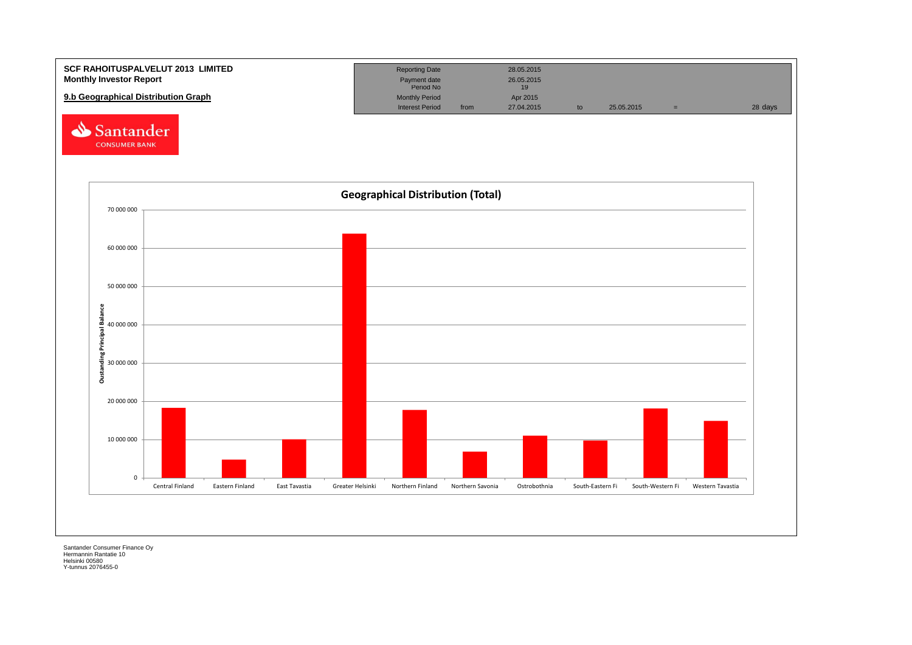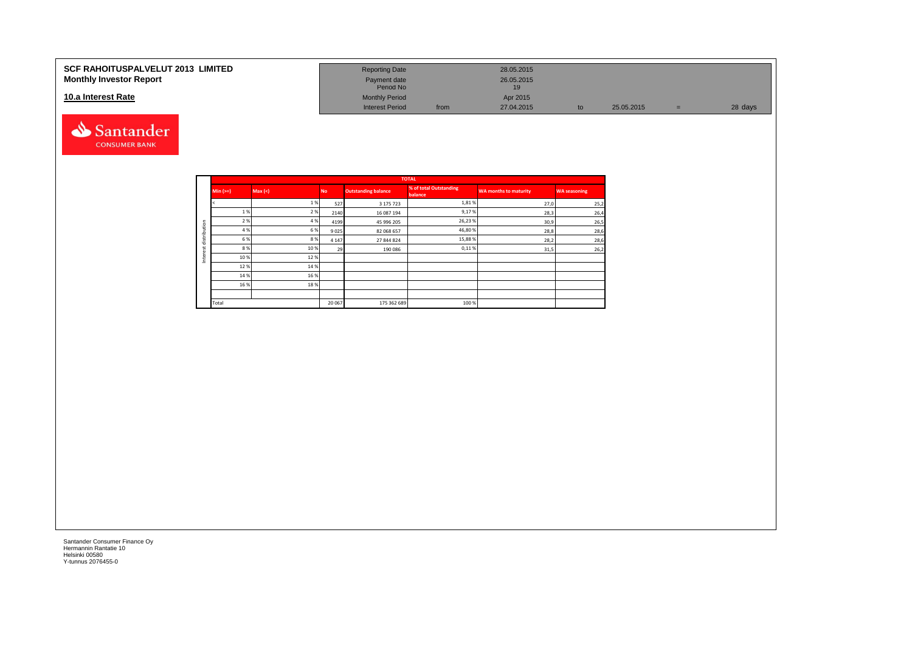#### **10.a Interest Rate**



| SCF RAHOITUSPALVELUT 2013  LIMITED | <b>Reporting Date</b>     |      | 28.05.2015       |            |         |
|------------------------------------|---------------------------|------|------------------|------------|---------|
| <b>Monthly Investor Report</b>     | Payment date<br>Period No |      | 26.05.2015<br>19 |            |         |
| 10.a Interest Rate                 | <b>Monthly Period</b>     |      | Apr 2015         |            |         |
|                                    | <b>Interest Period</b>    | from | 27.04.2015       | 25.05.2015 | 28 days |

|         |          |        |           |                            | <b>TOTAL</b>                      |                              |                     |
|---------|----------|--------|-----------|----------------------------|-----------------------------------|------------------------------|---------------------|
|         | $Min (=$ | Max(<) | <b>No</b> | <b>Outstanding balance</b> | % of total Outstanding<br>balance | <b>WA months to maturity</b> | <b>WA seasoning</b> |
|         |          | 1%     | 527       | 3 175 723                  | 1,81%                             | 27,0                         | 25,2                |
|         | 1 %      | 2 %    | 2140      | 16 087 194                 | 9,17%                             | 28,3                         | 26,4                |
| ution   | 2 %      | 4 %    | 4199      | 45 996 205                 | 26,23%                            | 30,9                         | 26,5                |
|         | 4 %      | 6%     | 9025      | 82 068 657                 | 46,80%                            | 28,8                         | 28,6                |
| distrib | 6 %      | 8%     | 4 1 4 7   | 27 844 824                 | 15,88%                            | 28,2                         | 28,6                |
| ٠<br>ö  | 8 %      | 10%    | 29        | 190 086                    | 0,11%                             | 31,5                         | 26,2                |
| Inter   | 10%      | 12%    |           |                            |                                   |                              |                     |
|         | 12%      | 14 %   |           |                            |                                   |                              |                     |
|         | 14 %     | 16%    |           |                            |                                   |                              |                     |
|         | 16 %     | 18%    |           |                            |                                   |                              |                     |
|         |          |        |           |                            |                                   |                              |                     |
|         | Total    |        | 20 067    | 175 362 689                | 100 %                             |                              |                     |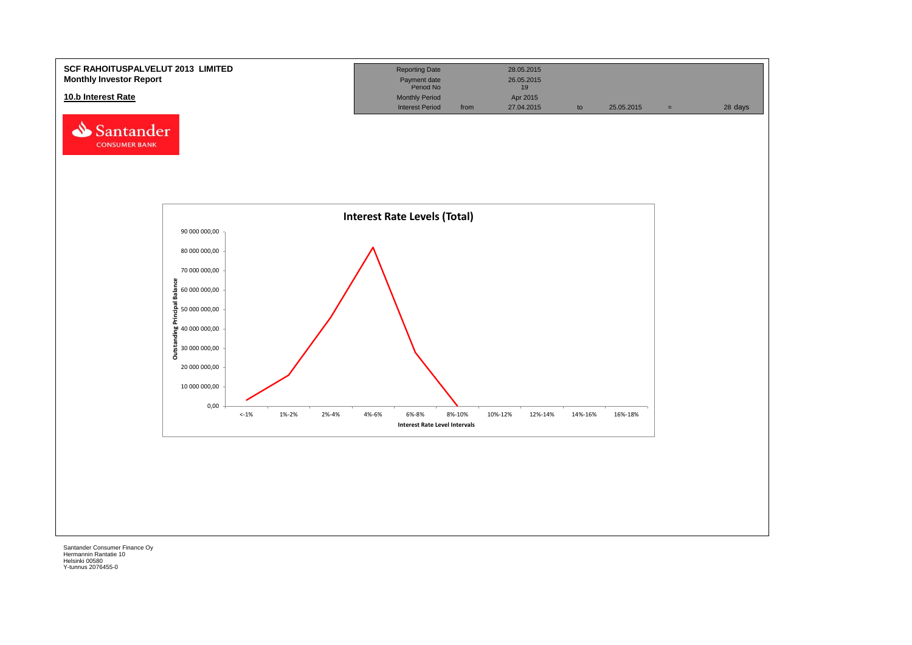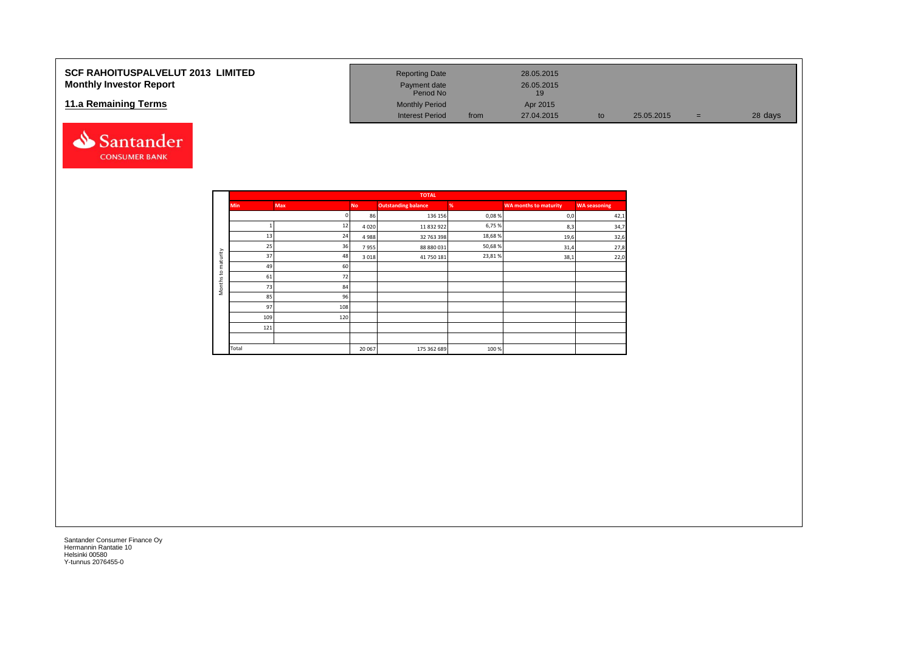#### **SCF RAHOITUSPALVELUT 2013 LIMITED Monthly Investor Report**

#### **11.a Remaining Terms**



| <b>Reporting Date</b>     |      | 28.05.2015       |    |            |          |         |
|---------------------------|------|------------------|----|------------|----------|---------|
| Payment date<br>Period No |      | 26.05.2015<br>19 |    |            |          |         |
| <b>Monthly Period</b>     |      | Apr 2015         |    |            |          |         |
| <b>Interest Period</b>    | from | 27.04.2015       | to | 25.05.2015 | $\equiv$ | 28 days |

|                     |            |            |           | <b>TOTAL</b>               |        |                       |                     |
|---------------------|------------|------------|-----------|----------------------------|--------|-----------------------|---------------------|
|                     | <b>Min</b> | <b>Max</b> | <b>No</b> | <b>Outstanding balance</b> | %      | WA months to maturity | <b>WA</b> seasoning |
|                     |            | n          | 86        | 136 156                    | 0,08%  | 0,0                   | 42,1                |
|                     |            | 12         | 4020      | 11 832 922                 | 6,75%  | 8,3                   | 34,7                |
|                     | 13         | 24         | 4988      | 32 763 398                 | 18,68% | 19,6                  | 32,6                |
|                     | 25         | 36         | 7955      | 88 880 031                 | 50,68% | 31,4                  | 27,8                |
| maturity            | 37         | 48         | 3018      | 41 750 181                 | 23,81% | 38,1                  | 22,0                |
|                     | 49         | 60         |           |                            |        |                       |                     |
| $\overline{c}$      | 61         | 72         |           |                            |        |                       |                     |
| Months <sup>-</sup> | 73         | 84         |           |                            |        |                       |                     |
|                     | 85         | 96         |           |                            |        |                       |                     |
|                     | 97         | 108        |           |                            |        |                       |                     |
|                     | 109        | 120        |           |                            |        |                       |                     |
|                     | 121        |            |           |                            |        |                       |                     |
|                     |            |            |           |                            |        |                       |                     |
|                     | Total      |            | 20 067    | 175 362 689                | 100%   |                       |                     |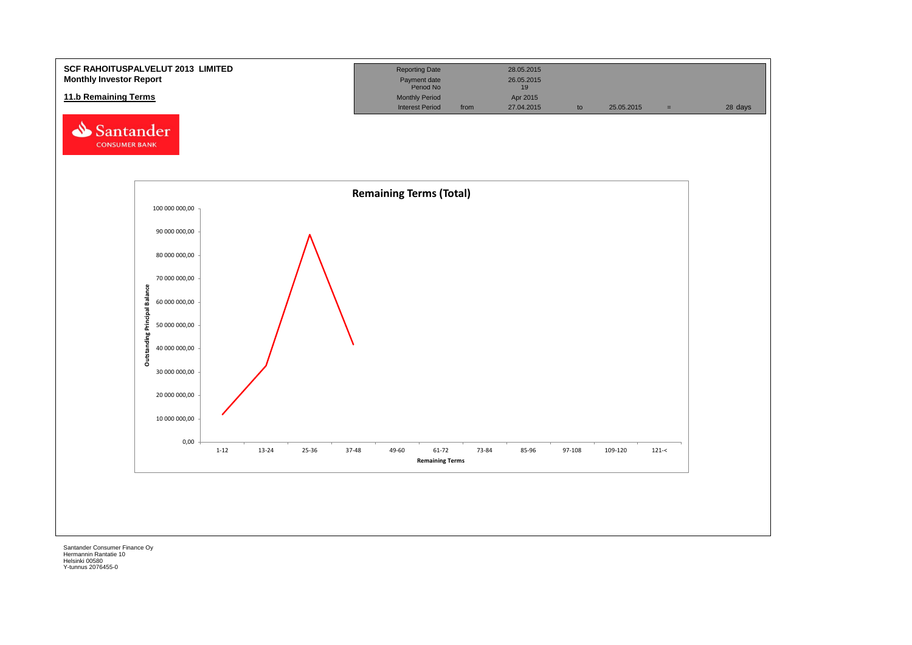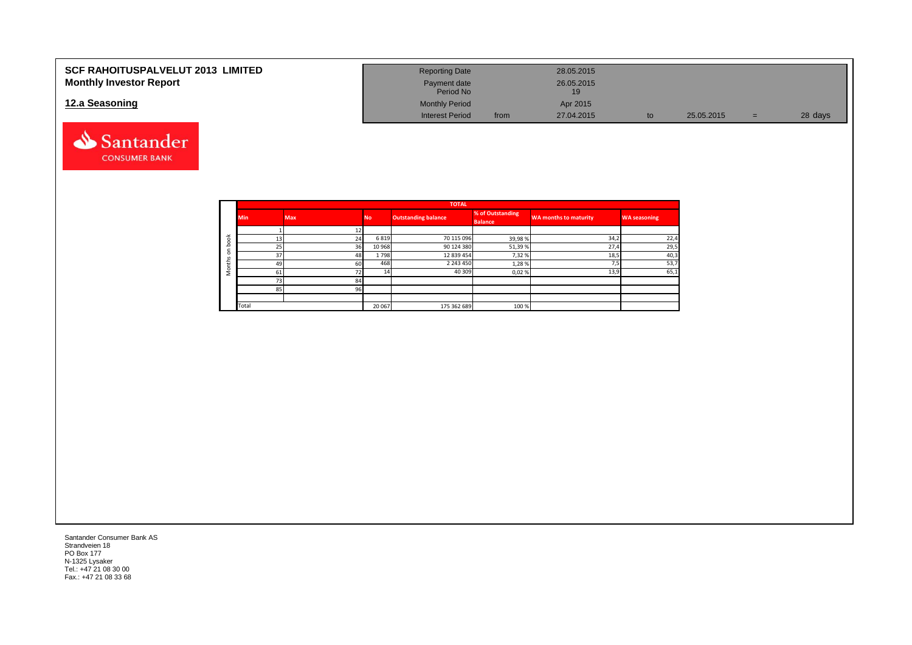| <b>SCF RAHOITUSPALVELUT 2013 LIMITED</b> | <b>Reporting Date</b>     |      | 28.05.2015 |    |            |   |         |
|------------------------------------------|---------------------------|------|------------|----|------------|---|---------|
| <b>Monthly Investor Report</b>           | Payment date<br>Period No |      | 26.05.2015 |    |            |   |         |
| 12.a Seasoning                           | <b>Monthly Period</b>     |      | Apr 2015   |    |            |   |         |
|                                          | <b>Interest Period</b>    | from | 27.04.2015 | to | 25.05.2015 | = | 28 days |



|                       |            |            |           | <b>TOTAL</b>               |                                    |                              |                     |
|-----------------------|------------|------------|-----------|----------------------------|------------------------------------|------------------------------|---------------------|
|                       | <b>Min</b> | <b>Max</b> | <b>No</b> | <b>Outstanding balance</b> | % of Outstanding<br><b>Balance</b> | <b>WA months to maturity</b> | <b>WA seasoning</b> |
|                       |            |            |           |                            |                                    |                              |                     |
| $\breve{\phantom{a}}$ | 13         | 24         | 6819      | 70 115 096                 | 39,98%                             | 34,2                         | 22,4                |
|                       | 25         | 36         | 10 968    | 90 124 380                 | 51,39%                             | 27,4                         | 29,5                |
|                       | 37         | 48         | 1798      | 12 839 454                 | 7,32 %                             | 18,5                         | 40,3                |
| سد                    | 49         | 60         | 468       | 2 2 4 3 4 5 0              | 1,28%                              | <u>те</u>                    | 53,7                |
|                       | 61         | 72         |           | 40 309                     | 0,02%                              | 13,9                         | 65,1                |
|                       | 73         | 84         |           |                            |                                    |                              |                     |
|                       | 85         | 96         |           |                            |                                    |                              |                     |
|                       |            |            |           |                            |                                    |                              |                     |
|                       | Total      |            | 20 067    | 175 362 689                | 100 %                              |                              |                     |

Santander Consumer Bank AS Strandveien 18 PO Box 177 N-1325 Lysaker Tel.: +47 21 08 30 00 Fax.: +47 21 08 33 68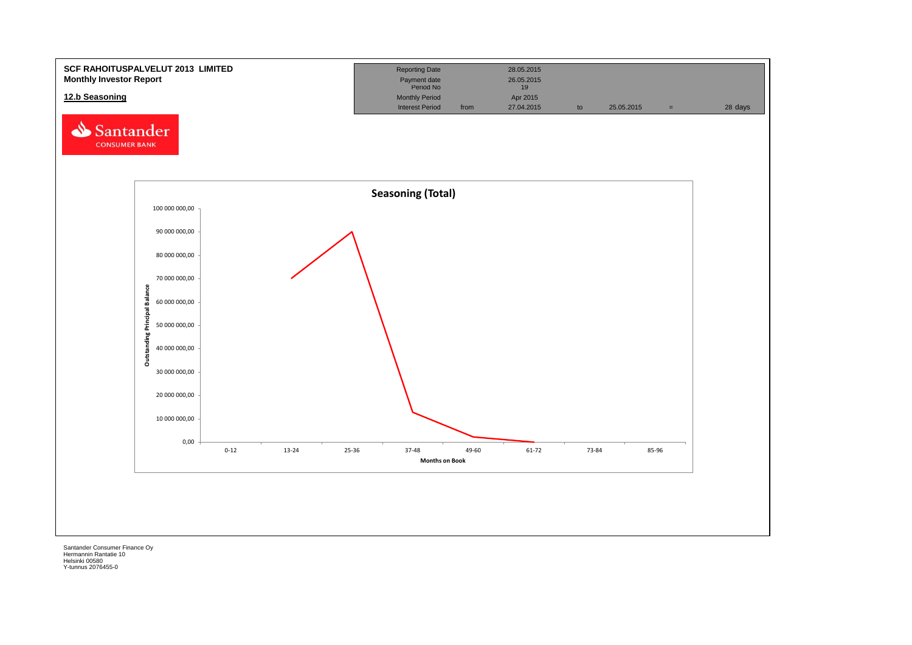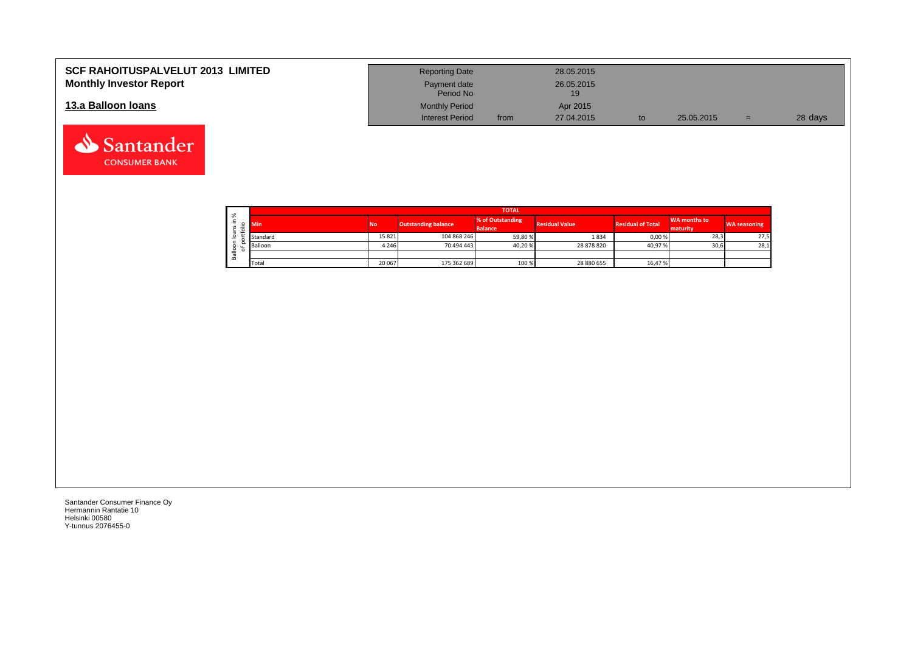| <b>SCF RAHOITUSPALVELUT 2013 LIMITED</b> | <b>Reporting Date</b>     |      | 28.05.2015       |            |     |         |
|------------------------------------------|---------------------------|------|------------------|------------|-----|---------|
| <b>Monthly Investor Report</b>           | Payment date<br>Period No |      | 26.05.2015<br>19 |            |     |         |
| 13.a Balloon Ioans                       | <b>Monthly Period</b>     |      | Apr 2015         |            |     |         |
|                                          | <b>Interest Period</b>    | from | 27.04.2015       | 25.05.2015 | $=$ | 28 days |

| $\sim$                                       |          |           |                                                                                           | <b>TOTAL</b> |                          |                                 |                     |      |
|----------------------------------------------|----------|-----------|-------------------------------------------------------------------------------------------|--------------|--------------------------|---------------------------------|---------------------|------|
| $\sim$<br>∸<br>$\overline{\phantom{0}}$<br>∼ |          | <b>No</b> | % of Outstanding<br><b>Outstanding balance</b><br><b>Residual Value</b><br><b>Balance</b> |              | <b>Residual of Total</b> | <b>WA months to</b><br>maturity | <b>WA seasoning</b> |      |
| -                                            | Standard | 15821     | 104 868 246                                                                               | 59,80%       | 1834                     | 0,00 %                          | 28,3                | 27,5 |
| ∼                                            | Balloon  | 4 2 4 6   | 70 494 443                                                                                | 40,20%       | 28 878 820               | 40,97%                          | 30,6                | 28,1 |
| ≚<br>≃                                       |          |           |                                                                                           |              |                          |                                 |                     |      |
|                                              | Total    | 20 067    | 175 362 689                                                                               | 100 %        | 28 880 655               | 16,47%                          |                     |      |

┑

Santander Consumer Finance Oy Hermannin Rantatie 10 Helsinki 00580 Y-tunnus 2076455-0

Santander **CONSUMER BANK**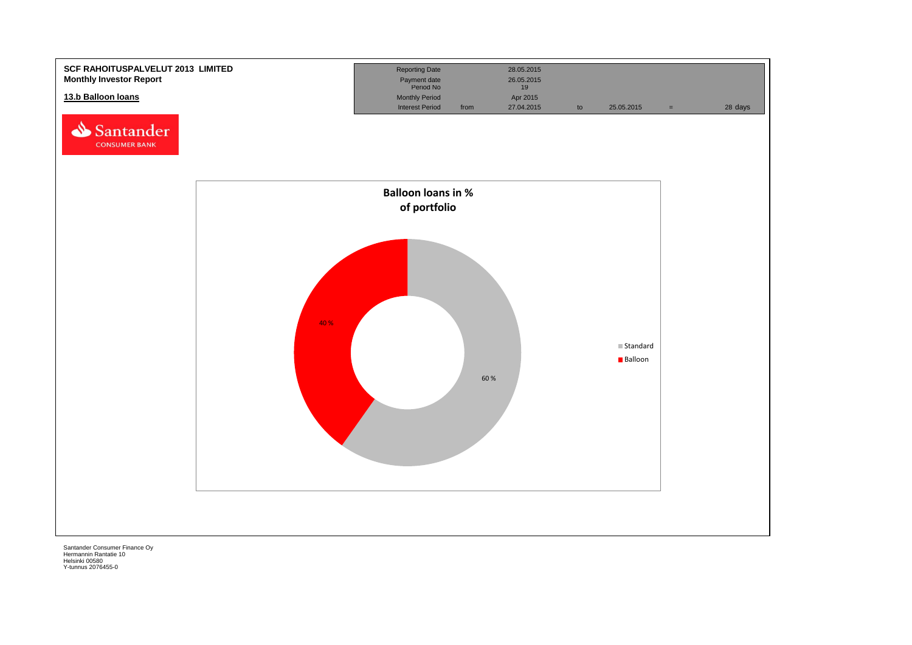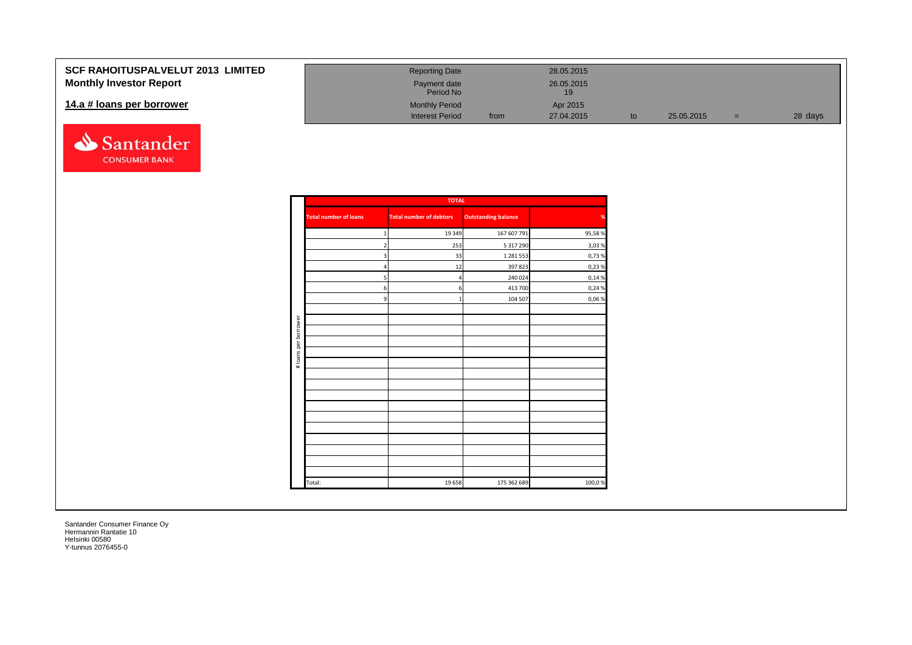### **SCF RAHOITUSPALVELUT 2 Monthly Investor Report**

#### 14.a # loans per borrower



| 2013 LIMITED | <b>Reporting Date</b>     |      | 28.05.2015        |    |            |     |         |
|--------------|---------------------------|------|-------------------|----|------------|-----|---------|
|              | Payment date<br>Period No |      | 26.05.2015<br>19. |    |            |     |         |
|              | <b>Monthly Period</b>     |      | Apr 2015          |    |            |     |         |
|              | <b>Interest Period</b>    | from | 27.04.2015        | to | 25.05.2015 | $=$ | 28 days |

|                      |                              | <b>TOTAL</b>                   |                            |        |
|----------------------|------------------------------|--------------------------------|----------------------------|--------|
|                      | <b>Total number of loans</b> | <b>Total number of debtors</b> | <b>Outstanding balance</b> | %      |
|                      | $\mathbf{1}$                 | 19 349                         | 167 607 791                | 95,58% |
|                      | $\overline{2}$               | 253                            | 5 317 290                  | 3,03%  |
|                      | 3                            | 33                             | 1 281 553                  | 0,73%  |
|                      | 4                            | 12                             | 397823                     | 0,23 % |
|                      | 5                            | $\overline{4}$                 | 240 024                    | 0,14 % |
|                      | 6                            | 6                              | 413 700                    | 0,24 % |
|                      | 9                            | $\mathbf{1}$                   | 104 507                    | 0,06%  |
|                      |                              |                                |                            |        |
| # loans per borrower |                              |                                |                            |        |
|                      |                              |                                |                            |        |
|                      |                              |                                |                            |        |
|                      |                              |                                |                            |        |
|                      |                              |                                |                            |        |
|                      |                              |                                |                            |        |
|                      |                              |                                |                            |        |
|                      |                              |                                |                            |        |
|                      |                              |                                |                            |        |
|                      |                              |                                |                            |        |
|                      |                              |                                |                            |        |
|                      |                              |                                |                            |        |
|                      | Total:                       | 19658                          | 175 362 689                | 100,0% |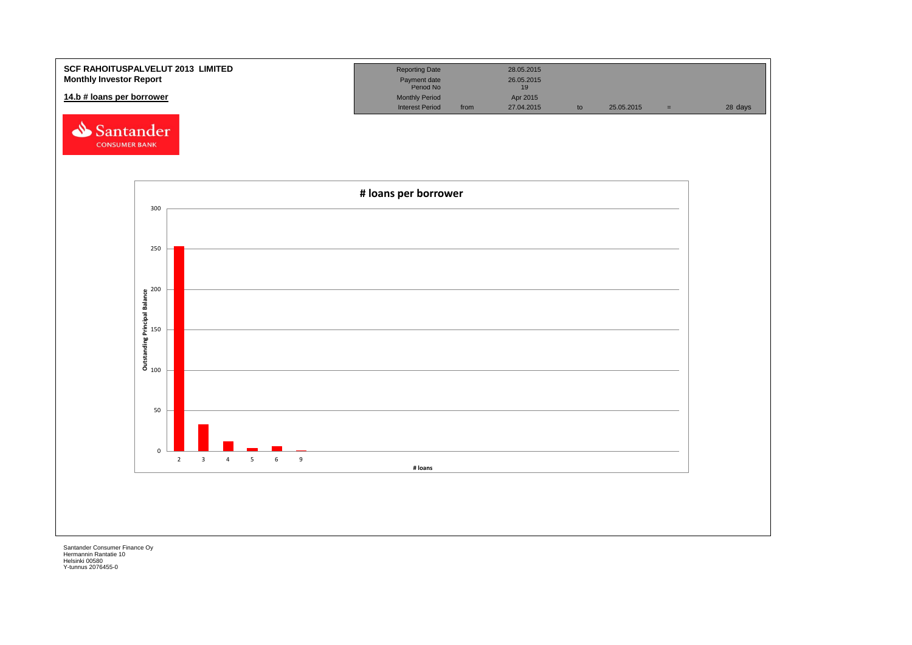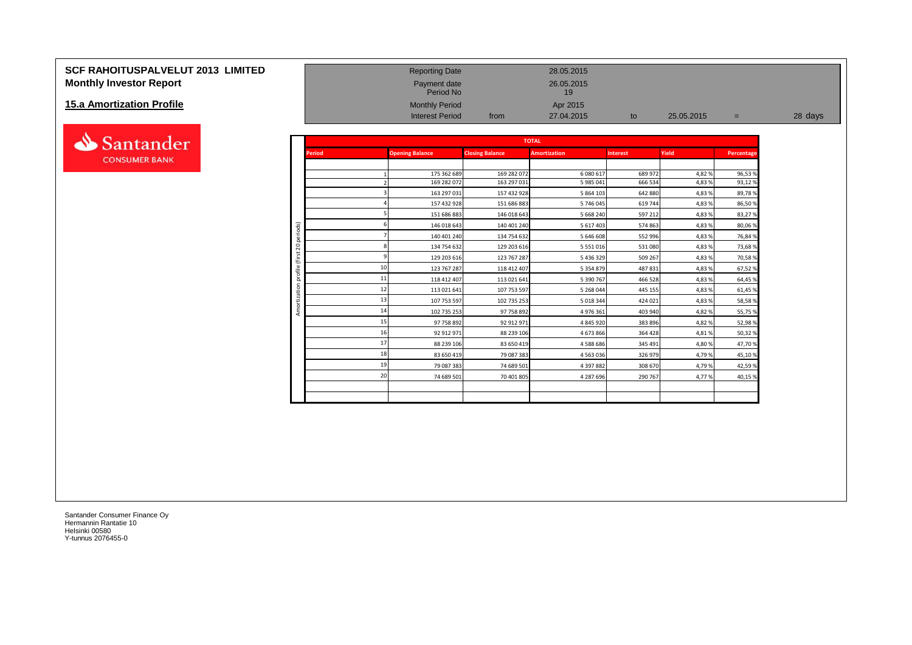### **SCF RAHOITUSPALVELUT 2013 LIMITED** Reporting Date 28.05.2015 **Monthly Investor Report Payment date** 26.05.2015

#### **15.a Amortization Profile**



|                           |                            |               | Period No              |                        | 19                  |                 |            |            |         |
|---------------------------|----------------------------|---------------|------------------------|------------------------|---------------------|-----------------|------------|------------|---------|
| 15.a Amortization Profile |                            |               | <b>Monthly Period</b>  |                        | Apr 2015            |                 |            |            |         |
|                           |                            |               | <b>Interest Period</b> | from                   | 27.04.2015          | to              | 25.05.2015 | $=$        | 28 days |
|                           |                            |               |                        |                        |                     |                 |            |            |         |
| Santander                 |                            |               |                        |                        | <b>TOTAL</b>        |                 |            |            |         |
| <b>CONSUMER BANK</b>      |                            | <b>Period</b> | <b>Opening Balance</b> | <b>Closing Balance</b> | <b>Amortization</b> | <b>Interest</b> | Yield      | Percentage |         |
|                           |                            |               |                        |                        |                     |                 |            |            |         |
|                           |                            |               | 175 362 689            | 169 282 072            | 6 080 617           | 689 972         | 4,82%      | 96,53%     |         |
|                           |                            |               | 169 282 072            | 163 297 031            | 5 985 041           | 666 534         | 4,83 %     | 93,12%     |         |
|                           |                            |               | 163 297 031            | 157 432 928            | 5 864 103           | 642 880         | 4,83 %     | 89,78%     |         |
|                           |                            |               | 157 432 928            | 151 686 883            | 5 746 045           | 619 744         | 4,83 %     | 86,50%     |         |
|                           |                            |               | 151 686 883            | 146 018 643            | 5 668 240           | 597 212         | 4,83%      | 83,27%     |         |
|                           | periods)                   |               | 146 018 643            | 140 401 240            | 5 617 403           | 574 863         | 4,83%      | 80,06%     |         |
|                           |                            |               | 140 401 240            | 134 754 632            | 5 646 608           | 552 996         | 4,83%      | 76,84%     |         |
|                           | $\overline{c}$             |               | 134 754 632            | 129 203 616            | 5 5 5 1 0 1 6       | 531 080         | 4,83 %     | 73,68%     |         |
|                           | ă<br>$\overline{\epsilon}$ |               | 129 203 616            | 123 767 287            | 5 436 329           | 509 267         | 4,83 %     | 70,58%     |         |
|                           | ofile                      |               | 123 767 287            | 118 412 407            | 5 3 5 4 8 7 9       | 487 831         | 4,83%      | 67,52%     |         |
|                           | ă                          |               | 118 412 407            | 113 021 641            | 5 390 767           | 466 528         | 4,83 %     | 64,45%     |         |
|                           |                            |               | 113 021 641            | 107 753 597            | 5 268 044           | 445 155         | 4,83 %     | 61,45%     |         |
|                           |                            | 13            | 107 753 597            | 102 735 253            | 5 018 344           | 424 021         | 4,83%      | 58,58%     |         |
|                           | Amo                        | 14            | 102 735 253            | 97 758 892             | 4 976 361           | 403 940         | 4,82 %     | 55,75 %    |         |
|                           |                            |               | 97 758 892             | 92 912 971             | 4 845 920           | 383 896         | 4,82%      | 52,98%     |         |
|                           |                            | 16            | 92 912 971             | 88 239 106             | 4 673 866           | 364 428         | 4,81%      | 50,32%     |         |
|                           |                            |               | 88 239 106             | 83 650 419             | 4588686             | 345 491         | 4,80%      | 47,70%     |         |
|                           |                            | 18            | 83 650 419             | 79 087 383             | 4 5 6 3 0 3 6       | 326 979         | 4,79%      | 45,10%     |         |
|                           |                            | 19            | 79 087 383             | 74 689 501             | 4 397 882           | 308 670         | 4,79%      | 42,59%     |         |
|                           |                            | 20            | 74 689 501             | 70 401 805             | 4 287 696           | 290 767         | 4,77%      | 40,15%     |         |
|                           |                            |               |                        |                        |                     |                 |            |            |         |
|                           |                            |               |                        |                        |                     |                 |            |            |         |
|                           |                            |               |                        |                        |                     |                 |            |            |         |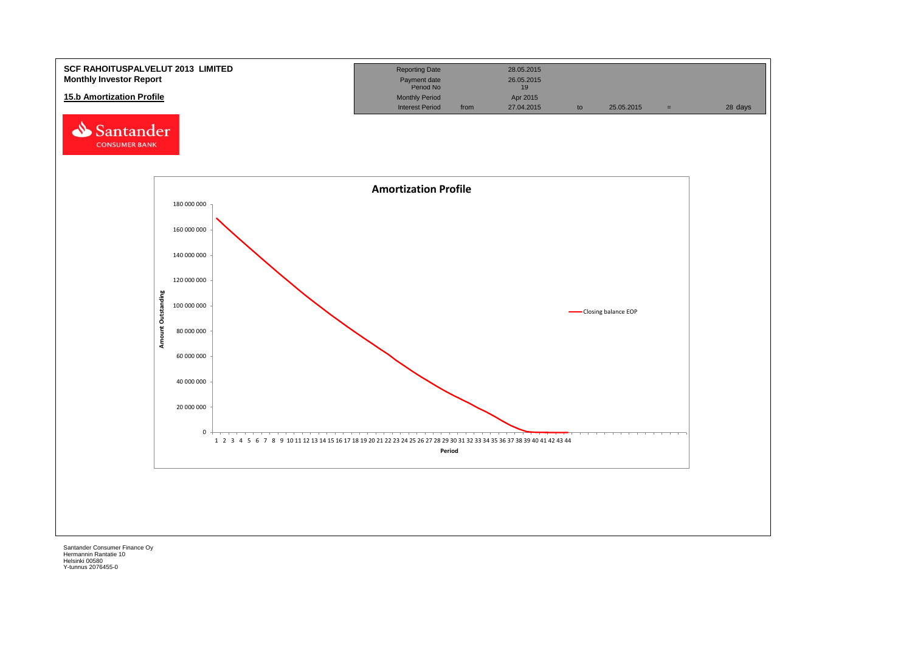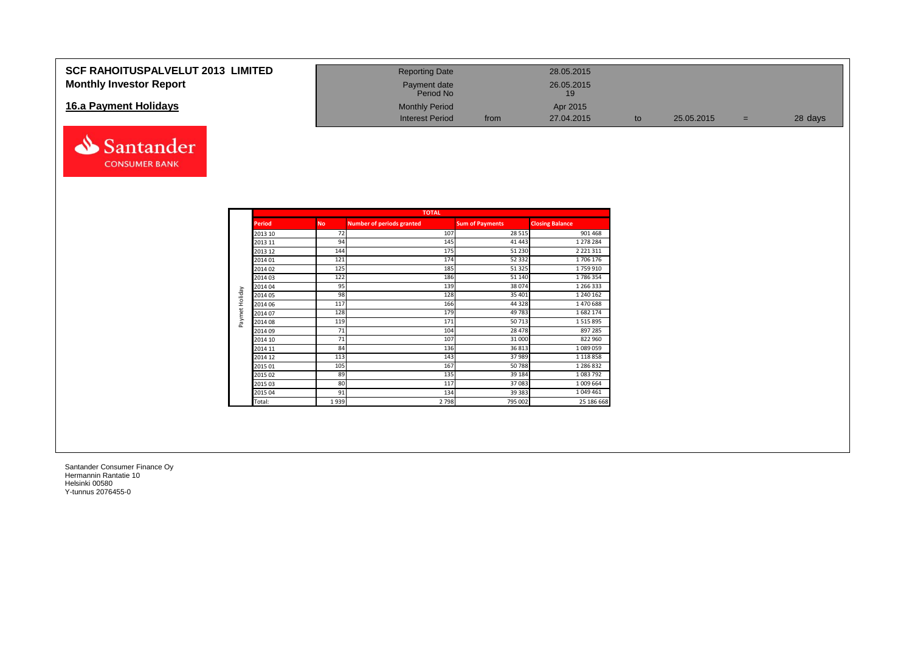#### **SCF RAHOITUSPALVELUT 2013 LIMITED Monthly Investor Report**

#### **16.a Payment Holidays**



| <b>Reporting Date</b>     |      | 28.05.2015       |    |            |     |         |
|---------------------------|------|------------------|----|------------|-----|---------|
| Payment date<br>Period No |      | 26.05.2015<br>19 |    |            |     |         |
| <b>Monthly Period</b>     |      | Apr 2015         |    |            |     |         |
| Interest Period           | from | 27.04.2015       | to | 25.05.2015 | $=$ | 28 days |

|                |               |           | <b>TOTAL</b>                     |                        |                        |
|----------------|---------------|-----------|----------------------------------|------------------------|------------------------|
|                | <b>Period</b> | <b>No</b> | <b>Number of periods granted</b> | <b>Sum of Payments</b> | <b>Closing Balance</b> |
|                | 2013 10       | 72        | 107                              | 28 5 15                | 901 468                |
|                | 2013 11       | 94        | 145                              | 41 443                 | 1 278 284              |
|                | 2013 12       | 144       | 175                              | 51 230                 | 2 2 2 1 3 1 1          |
|                | 2014 01       | 121       | 174                              | 52 3 32                | 1706 176               |
|                | 2014 02       | 125       | 185                              | 51 325                 | 1759910                |
|                | 2014 03       | 122       | 186                              | 51 140                 | 1786354                |
|                | 2014 04       | 95        | 139                              | 38 0 74                | 1 266 333              |
| Paymet Holiday | 2014 05       | 98        | 128                              | 35 401                 | 1 240 162              |
|                | 2014 06       | 117       | 166                              | 44 3 28                | 1470688                |
|                | 2014 07       | 128       | 179                              | 49783                  | 1682174                |
|                | 2014 08       | 119       | 171                              | 50713                  | 1515895                |
|                | 2014 09       | 71        | 104                              | 28 4 78                | 897 285                |
|                | 2014 10       | 71        | 107                              | 31 000                 | 822 960                |
|                | 2014 11       | 84        | 136                              | 36813                  | 1089059                |
|                | 2014 12       | 113       | 143                              | 37989                  | 1 118 858              |
|                | 2015 01       | 105       | 167                              | 50788                  | 1 286 832              |
|                | 2015 02       | 89        | 135                              | 39 184                 | 1083792                |
|                | 2015 03       | 80        | 117                              | 37083                  | 1 009 664              |
|                | 2015 04       | 91        | 134                              | 39 383                 | 1 049 461              |
|                | Total:        | 1939      | 2798                             | 795 002                | 25 186 668             |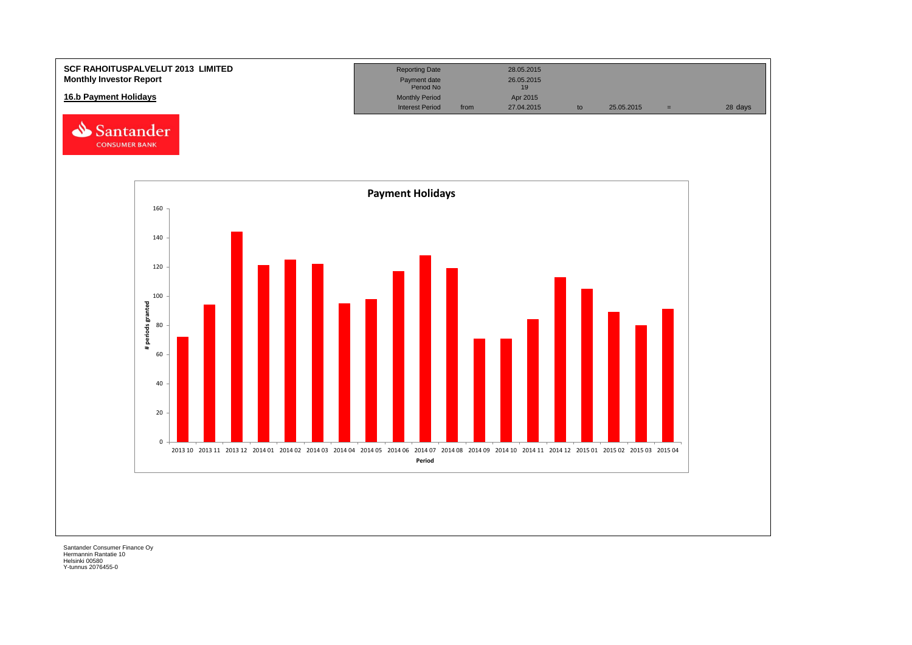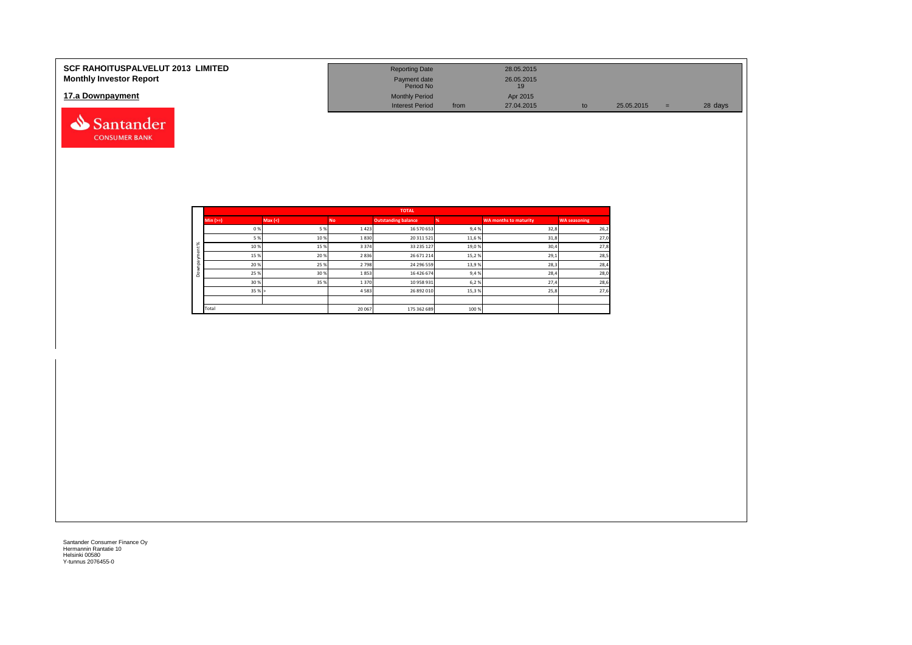| <b>SCF RAHOITUSPALVELUT 2013 LIMITED</b><br><b>Monthly Investor Report</b> | <b>Reporting Date</b><br>Payment date<br>Period No |      | 28.05.2015<br>26.05.2015<br>19 |            |         |
|----------------------------------------------------------------------------|----------------------------------------------------|------|--------------------------------|------------|---------|
| 17.a Downpayment                                                           | <b>Monthly Period</b><br><b>Interest Period</b>    | from | Apr 2015<br>27.04.2015         | 25.05.2015 | 28 days |

|              |            |         |           | <b>TOTAL</b>               |       |                       |                     |
|--------------|------------|---------|-----------|----------------------------|-------|-----------------------|---------------------|
|              | $Min (==)$ | Max (<) | <b>No</b> | <b>Outstanding balance</b> |       | WA months to maturity | <b>WA seasoning</b> |
|              | 0%         | 5 %     | 1423      | 16 570 653                 | 9,4%  | 32,8                  | 26,2                |
|              | 5 %        | 10%     | 1830      | 20 311 521                 | 11,6% | 31,8                  | 27,0                |
| ೫            | 10%        | 15 %    | 3 3 7 4   | 33 235 127                 | 19,0% | 30,4                  | 27,8                |
| ۰            | 15 %       | 20 %    | 2836      | 26 671 214                 | 15,2% | 29,1                  | 28,5                |
| $\bar{a}$    | 20%        | 25 %    | 2798      | 24 296 559                 | 13,9% | 28,3                  | 28,4                |
| ۰<br>$\circ$ | 25 %       | 30 %    | 1853      | 16 426 674                 | 9,4%  | 28,4                  | 28,0                |
|              | 30 %       | 35 %    | 1370      | 10 958 931                 | 6,2%  | 27,4                  | 28,6                |
|              | 35%        |         | 4583      | 26 892 010                 | 15,3% | 25,8                  | 27,6                |
|              |            |         |           |                            |       |                       |                     |
|              | Total      |         | 20 067    | 175 362 689                | 100 % |                       |                     |

Santander **CONSUMER BANK**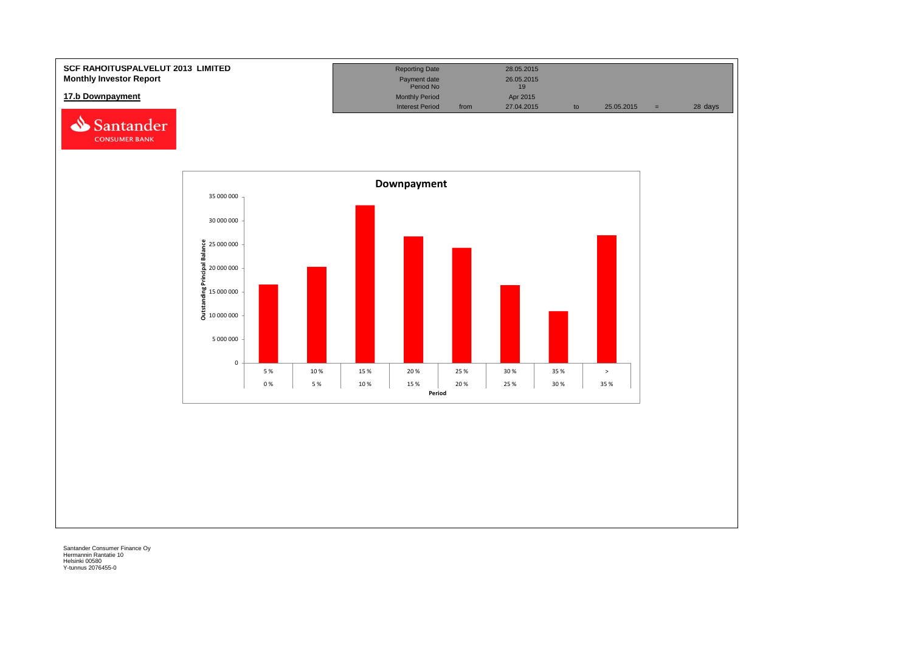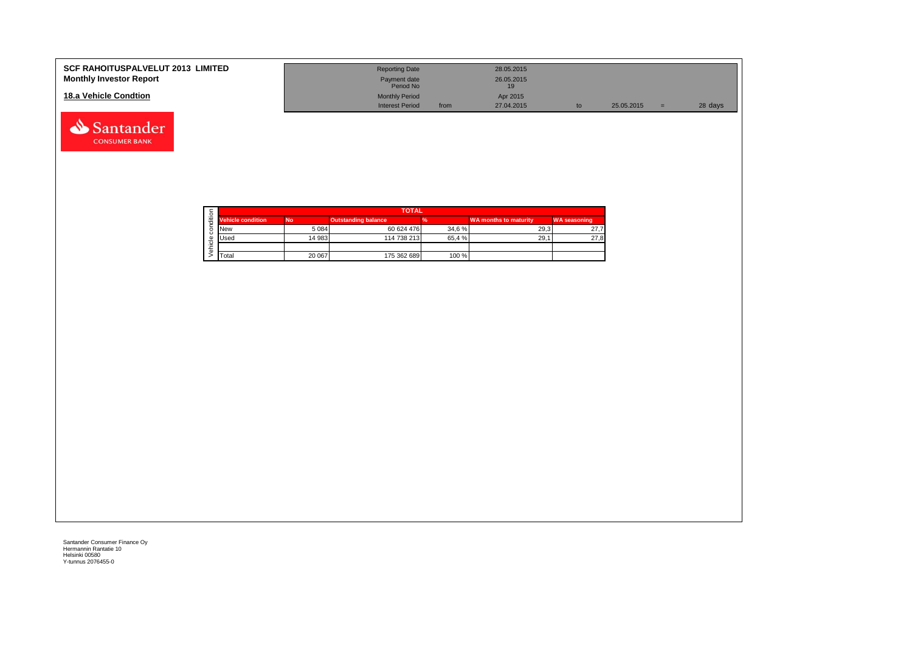| <b>SCF RAHOITUSPALVELUT 2013 LIMITED</b><br><b>Monthly Investor Report</b> | <b>Reporting Date</b><br>Payment date<br>Period No |      | 28.05.2015<br>26.05.2015 |    |            |     |         |
|----------------------------------------------------------------------------|----------------------------------------------------|------|--------------------------|----|------------|-----|---------|
| 18.a Vehicle Condtion                                                      | <b>Monthly Period</b><br><b>Interest Period</b>    | from | Apr 2015<br>27.04.2015   | to | 25.05.2015 | $=$ | 28 days |

|  |                          |           | <b>TOTAL</b>        |        |                              |                     |
|--|--------------------------|-----------|---------------------|--------|------------------------------|---------------------|
|  | <b>Vehicle condition</b> | <b>No</b> | Outstanding balance |        | <b>WA months to maturity</b> | <b>WA seasoning</b> |
|  | <b>New</b>               | 5 0 8 4   | 60 624 476          | 34.6 % | 29.3                         | 27.7                |
|  | <b>Used</b>              | 14 983    | 114 738 213         | 65.4 % | 29.1                         | 27,8                |
|  |                          |           |                     |        |                              |                     |
|  | Total                    | 20 067    | 175 362 689         | 100 %  |                              |                     |

Santander **CONSUMER BANK**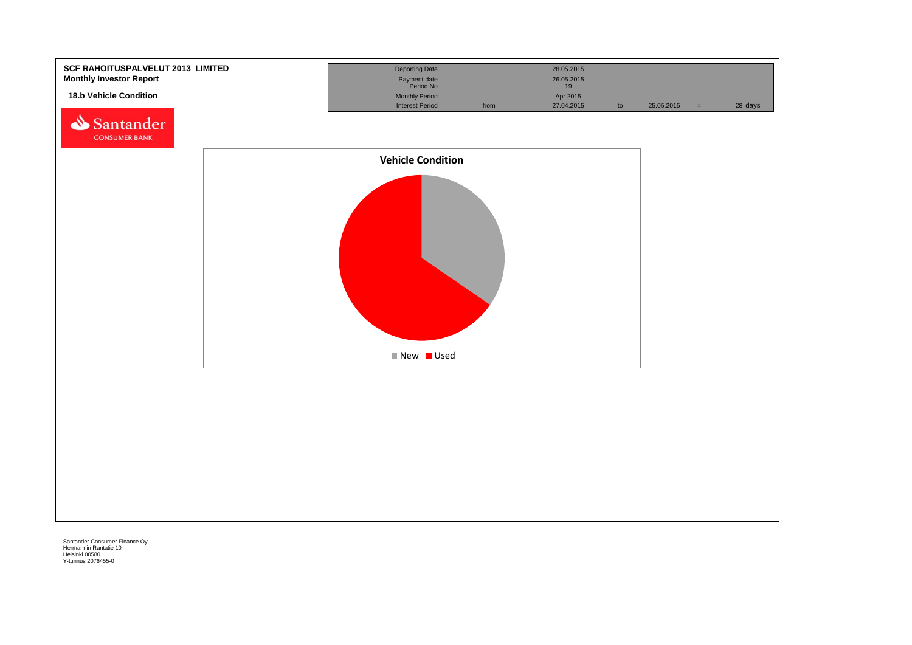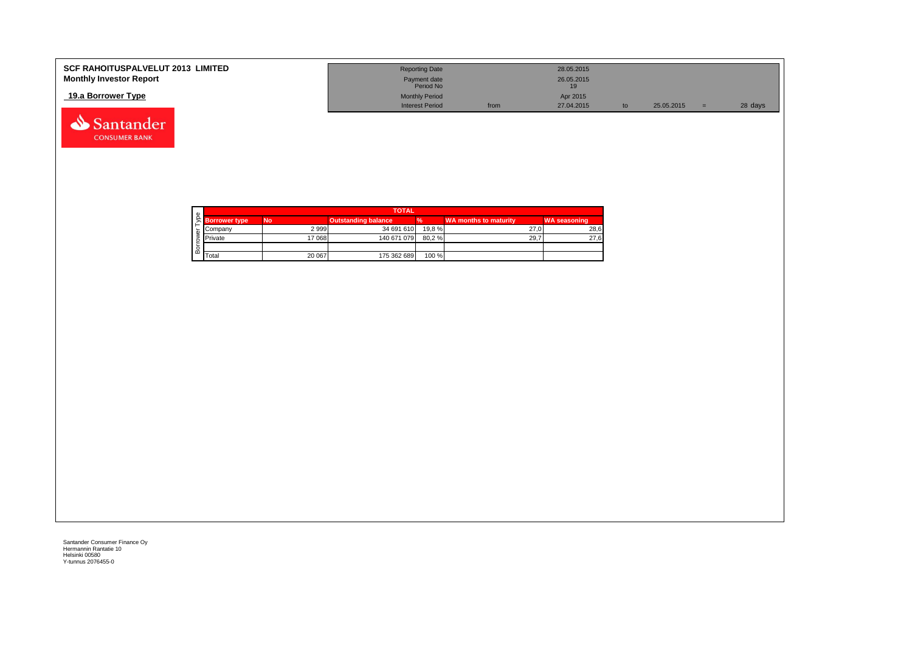| <b>SCF RAHOITUSPALVELUT 2013 LIMITED</b><br><b>Monthly Investor Report</b> | <b>Reporting Date</b><br>Payment date<br>Period No |      | 28.05.2015<br>26.05.2015<br>19 |            |         |
|----------------------------------------------------------------------------|----------------------------------------------------|------|--------------------------------|------------|---------|
| 19.a Borrower Type                                                         | <b>Monthly Period</b><br>Interest Period           | from | Apr 2015<br>27.04.2015         | 25.05.2015 | 28 days |

| Φ |                      |           | <b>TOTAL</b>               |        |                       |                     |
|---|----------------------|-----------|----------------------------|--------|-----------------------|---------------------|
|   | <b>Borrower type</b> | <b>No</b> | <b>Outstanding balance</b> |        | WA months to maturity | <b>WA seasoning</b> |
|   | Company              | 2999      | 34 691 610                 | 19.8 % | 27.0                  | 28,6                |
|   | <b>Private</b>       | 17 068    | 140 671 079                | 80,2%  | 29.7                  | 27,6                |
|   |                      |           |                            |        |                       |                     |
| മ | Total                | 20 067    | 175 362 689                | 100 %  |                       |                     |

Santander **CONSUMER BANK**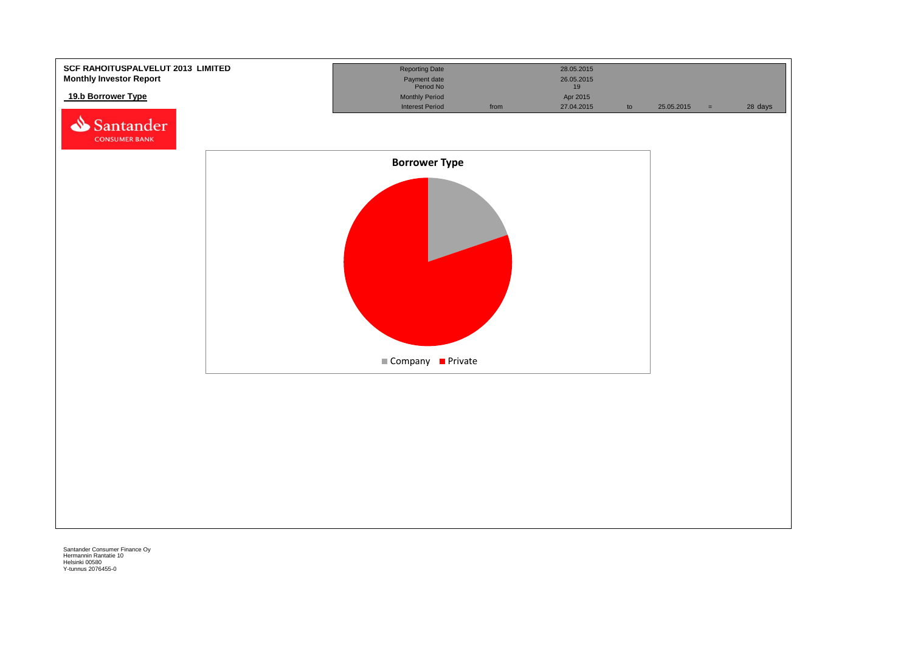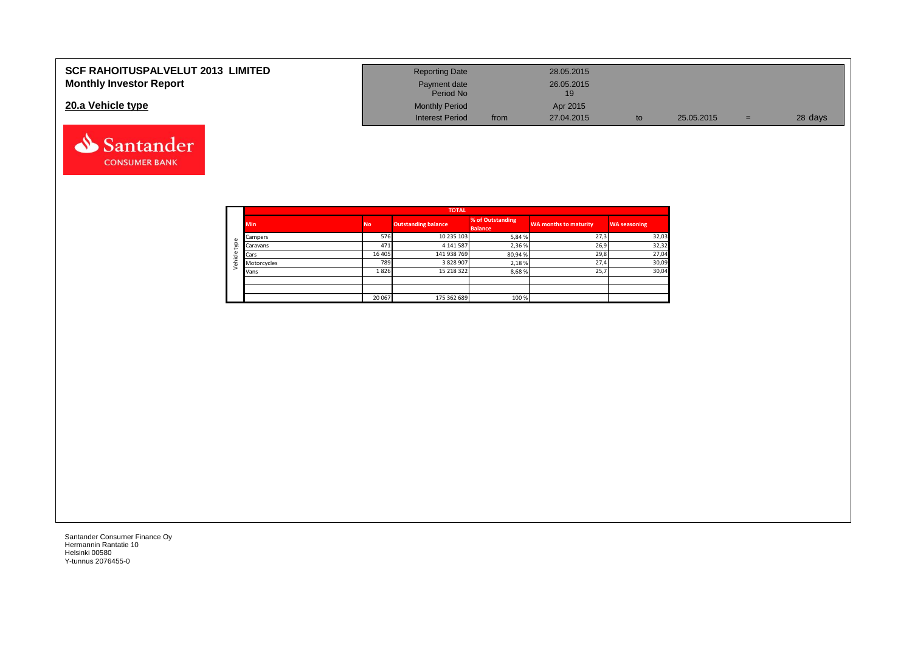### **SCF RAHOITUSPALVELUT 2013 LIMITED Monthly Investor Report**

#### **20.a Vehicle type**



| <b>Reporting Date</b>     |      | 28.05.2015       |    |            |     |         |
|---------------------------|------|------------------|----|------------|-----|---------|
| Payment date<br>Period No |      | 26.05.2015<br>19 |    |            |     |         |
| <b>Monthly Period</b>     |      | Apr 2015         |    |            |     |         |
| <b>Interest Period</b>    | from | 27.04.2015       | to | 25.05.2015 | $=$ | 28 days |

|         |             | <b>TOTAL</b> |                            |                                    |                              |                     |  |  |  |  |  |  |  |  |
|---------|-------------|--------------|----------------------------|------------------------------------|------------------------------|---------------------|--|--|--|--|--|--|--|--|
|         | <b>Min</b>  | <b>No</b>    | <b>Outstanding balance</b> | % of Outstanding<br><b>Balance</b> | <b>WA months to maturity</b> | <b>WA seasoning</b> |  |  |  |  |  |  |  |  |
|         | Campers     | 576          | 10 235 103                 | 5,84%                              | 27,3                         | 32,03               |  |  |  |  |  |  |  |  |
| type    | Caravans    | 471          | 4 141 587                  | 2,36%                              | 26,9                         | 32,32               |  |  |  |  |  |  |  |  |
|         | Cars        | 16 4 05      | 141 938 769                | 80,94%                             | 29,8                         | 27,04               |  |  |  |  |  |  |  |  |
| Vehicle | Motorcycles | 789          | 3 828 907                  | 2,18%                              | 27,4                         | 30,09               |  |  |  |  |  |  |  |  |
|         | Vans        | 1826         | 15 218 322                 | 8,68%                              | 25,7                         | 30,04               |  |  |  |  |  |  |  |  |
|         |             |              |                            |                                    |                              |                     |  |  |  |  |  |  |  |  |
|         |             |              |                            |                                    |                              |                     |  |  |  |  |  |  |  |  |
|         |             | 20 067       | 175 362 689                | 100 %                              |                              |                     |  |  |  |  |  |  |  |  |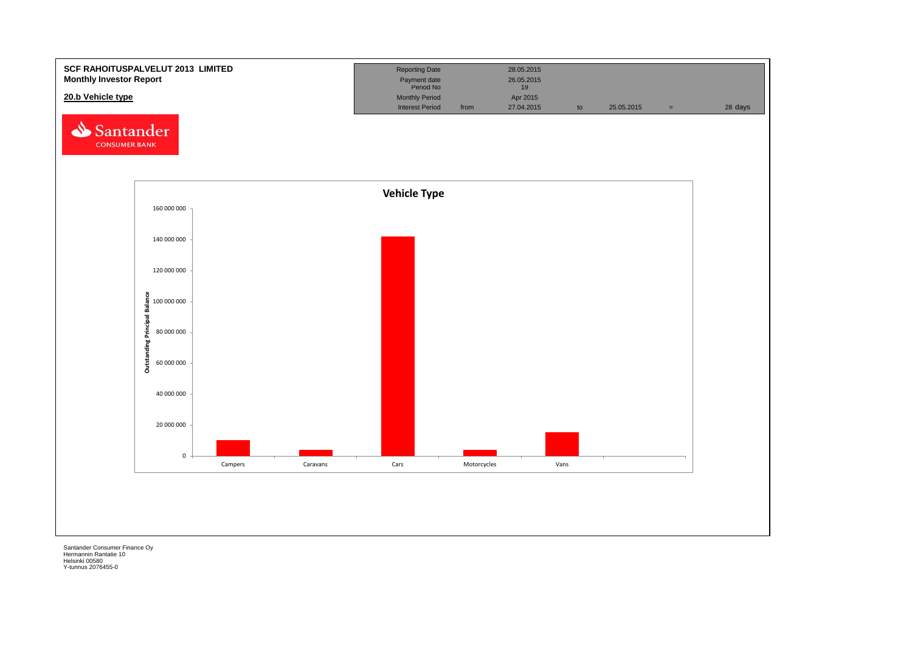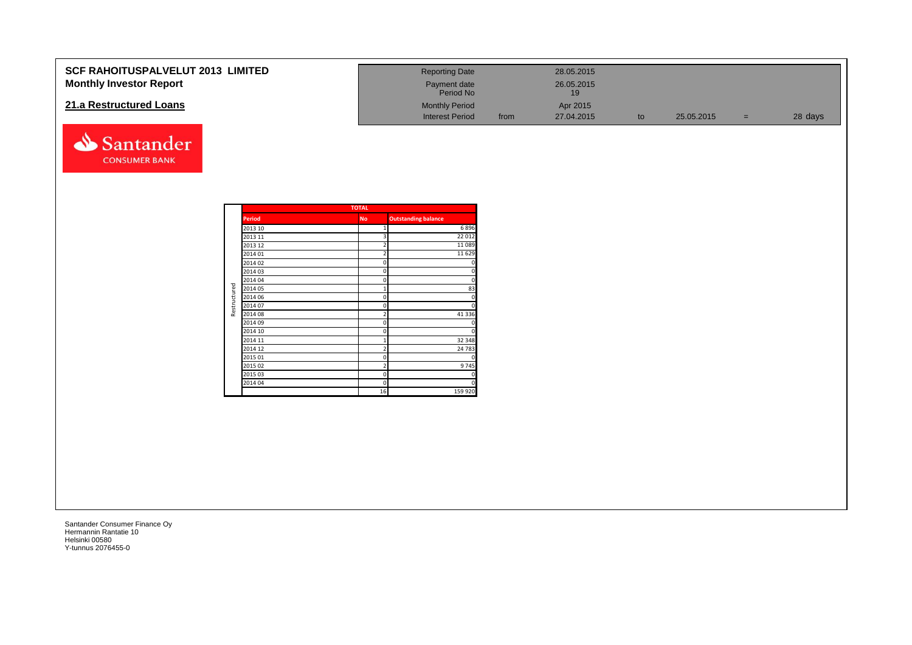| <b>SCF RAHOITUSPALVELUT 2013 LIMITED</b> | <b>Reporting Date</b>     |      | 28.05.2015 |            |     |         |
|------------------------------------------|---------------------------|------|------------|------------|-----|---------|
| <b>Monthly Investor Report</b>           | Payment date<br>Period No |      | 26.05.2015 |            |     |         |
| 21.a Restructured Loans                  | <b>Monthly Period</b>     |      | Apr 2015   |            |     |         |
|                                          | <b>Interest Period</b>    | from | 27.04.2015 | 25.05.2015 | $=$ | 28 days |



|              |               | <b>TOTAL</b>   |                            |
|--------------|---------------|----------------|----------------------------|
|              | <b>Period</b> | <b>No</b>      | <b>Outstanding balance</b> |
|              | 2013 10       | 1              | 6896                       |
|              | 2013 11       | 3              | 22 012                     |
|              | 2013 12       | $\overline{2}$ | 11 089                     |
|              | 2014 01       | $\overline{2}$ | 11 6 29                    |
|              | 2014 02       | 0              | $\Omega$                   |
|              | 2014 03       | 0              | $\Omega$                   |
|              | 2014 04       | 0              | $\Omega$                   |
|              | 2014 05       | $\mathbf{1}$   | 83                         |
| Restructured | 2014 06       | 0              | n                          |
|              | 2014 07       | $\mathbf 0$    | $\Omega$                   |
|              | 2014 08       | $\overline{c}$ | 41 3 3 6                   |
|              | 2014 09       | 0              |                            |
|              | 2014 10       | 0              | $\Omega$                   |
|              | 2014 11       | $\mathbf{1}$   | 32 348                     |
|              | 2014 12       | $\overline{2}$ | 24 783                     |
|              | 2015 01       | 0              | $\Omega$                   |
|              | 2015 02       | $\overline{2}$ | 9745                       |
|              | 2015 03       | 0              | 0                          |
|              | 2014 04       | $\Omega$       | n                          |
|              |               | 16             | 159 920                    |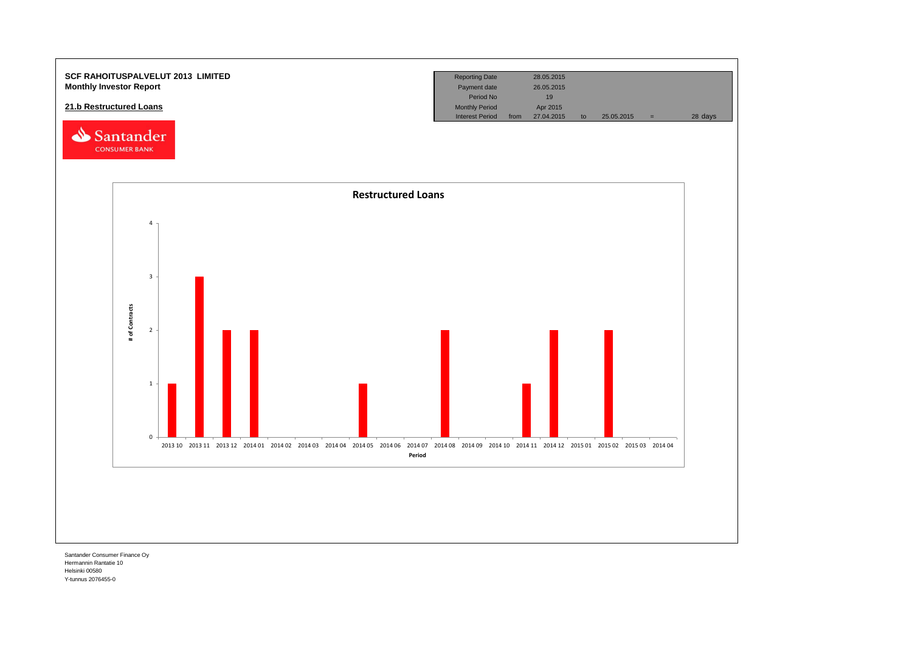

Hermannin Rantatie 10 Helsinki 00580 Y-tunnus 2076455-0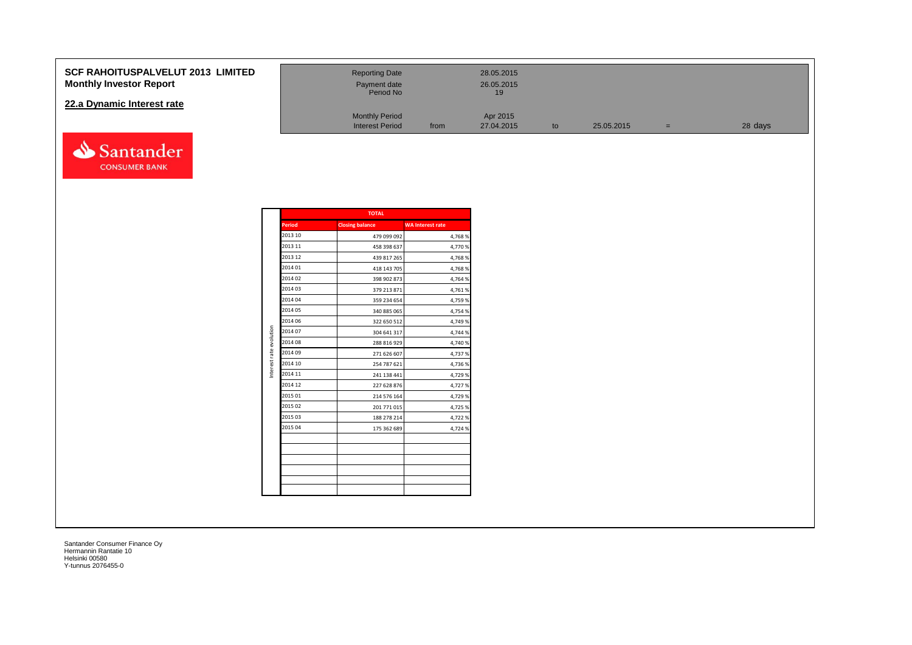#### **SCF RAHOITUSPALVELUT 2013 Monthly Investor Report**

#### **22.a Dynamic Interest rate**



| <b>LIMITED</b> | <b>Reporting Date</b><br>Payment date<br>Period No |      | 28.05.2015<br>26.05.2015<br>19 |    |            |     |         |
|----------------|----------------------------------------------------|------|--------------------------------|----|------------|-----|---------|
|                | <b>Monthly Period</b><br><b>Interest Period</b>    | from | Apr 2015<br>27.04.2015         | to | 25.05.2015 | $=$ | 28 days |

|                         | Period  | <b>Closing balance</b> | <b>WA Interest rate</b> |
|-------------------------|---------|------------------------|-------------------------|
|                         | 2013 10 | 479 099 092            | 4,768%                  |
|                         | 2013 11 | 458 398 637            | 4,770%                  |
|                         | 2013 12 | 439 817 265            | 4,768%                  |
|                         | 2014 01 | 418 143 705            | 4,768%                  |
|                         | 2014 02 | 398 902 873            | 4,764 %                 |
|                         | 2014 03 | 379 213 871            | 4,761%                  |
|                         | 2014 04 | 359 234 654            | 4,759 %                 |
|                         | 2014 05 | 340 885 065            | 4,754 %                 |
|                         | 2014 06 | 322 650 512            | 4,749 %                 |
| Interest rate evolution | 2014 07 | 304 641 317            | 4,744 %                 |
|                         | 2014 08 | 288 816 929            | 4,740 %                 |
|                         | 2014 09 | 271 626 607            | 4,737%                  |
|                         | 2014 10 | 254 787 621            | 4,736 %                 |
|                         | 2014 11 | 241 138 441            | 4,729 %                 |
|                         | 2014 12 | 227 628 876            | 4,727 %                 |
|                         | 2015 01 | 214 576 164            | 4,729 %                 |
|                         | 2015 02 | 201 771 015            | 4,725 %                 |
|                         | 2015 03 | 188 278 214            | 4,722 %                 |
|                         | 2015 04 | 175 362 689            | 4,724 %                 |
|                         |         |                        |                         |
|                         |         |                        |                         |
|                         |         |                        |                         |
|                         |         |                        |                         |
|                         |         |                        |                         |
|                         |         |                        |                         |

**TOTAL**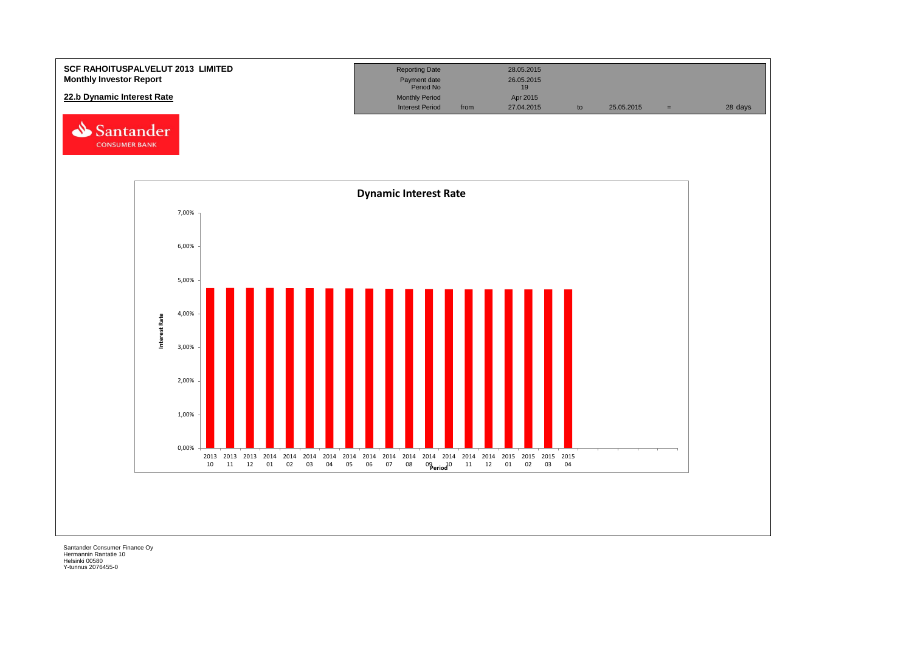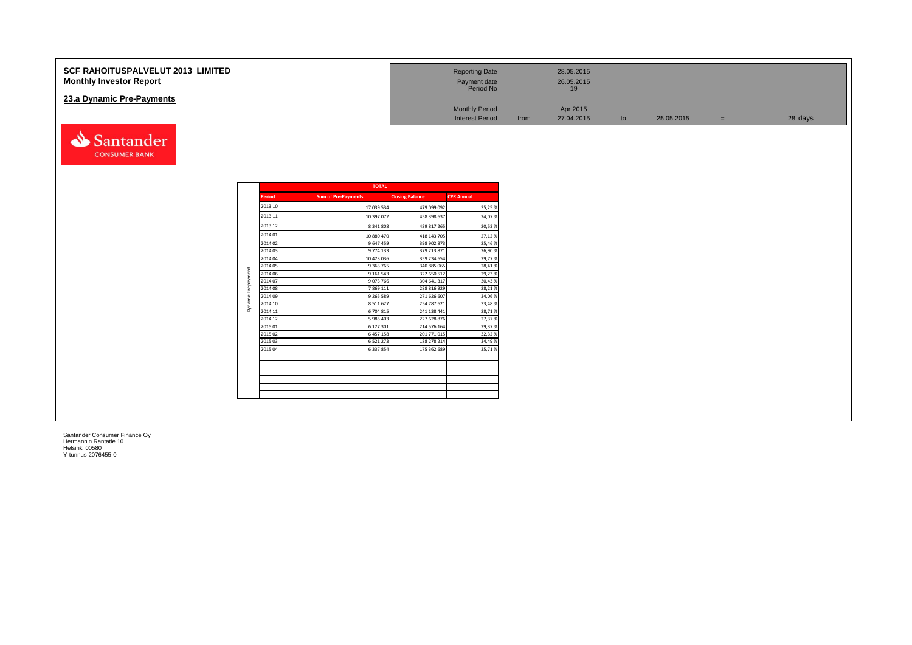| <b>SCF RAHOITUSPALVELUT 2013 LIMITED</b><br><b>Monthly Investor Report</b> | <b>Reporting Date</b><br>Payment date<br>Period No |      | 28.05.2015<br>26.05.2015 |    |            |         |
|----------------------------------------------------------------------------|----------------------------------------------------|------|--------------------------|----|------------|---------|
| 23.a Dynamic Pre-Payments                                                  |                                                    |      |                          |    |            |         |
|                                                                            | <b>Monthly Period</b>                              |      | Apr 2015                 |    |            |         |
|                                                                            | <b>Interest Period</b>                             | from | 27.04.2015               | to | 25.05.2015 | 28 days |

|               | <b>TOTAL</b>               |                        |                   |
|---------------|----------------------------|------------------------|-------------------|
| <b>Period</b> | <b>Sum of Pre-Payments</b> | <b>Closing Balance</b> | <b>CPR Annual</b> |
| 2013 10       | 17 039 534                 | 479 099 092            | 35,25%            |
| 2013 11       | 10 397 072                 | 458 398 637            | 24,07%            |
| 2013 12       | 8 341 808                  | 439 817 265            | 20,53%            |
| 2014 01       | 10 880 470                 | 418 143 705            | 27,12%            |
| 2014 02       | 9 647 459                  | 398 902 873            | 25,46%            |
| 2014 03       | 9774 133                   | 379 213 871            | 26,90%            |
| 2014 04       | 10 423 036                 | 359 234 654            | 29,77%            |
| 2014 05       | 9 3 63 7 65                | 340 885 065            | 28,41%            |
| 2014 06       | 9 161 543                  | 322 650 512            | 29,23%            |
| 2014 07       | 9073766                    | 304 641 317            | 30,43%            |
| 2014 08       | 7869111                    | 288 816 929            | 28,21%            |
| 2014 09       | 9 2 6 5 5 8 9              | 271 626 607            | 34,06%            |
| 2014 10       | 8 5 1 1 6 2 7              | 254 787 621            | 33,48%            |
| 2014 11       | 6 704 815                  | 241 138 441            | 28,71%            |
| 2014 12       | 5 985 403                  | 227 628 876            | 27,37%            |
| 2015 01       | 6 127 301                  | 214 576 164            | 29,37%            |
| 2015 02       | 6 457 158                  | 201 771 015            | 32,32%            |
| 2015 03       | 6 5 2 1 2 7 3              | 188 278 214            | 34,49%            |
| 2015 04       | 6 3 3 7 8 5 4              | 175 362 689            | 35,71%            |
|               |                            |                        |                   |
|               |                            |                        |                   |
|               |                            |                        |                   |
|               |                            |                        |                   |
|               |                            |                        |                   |

Santander **CONSUMER BANK**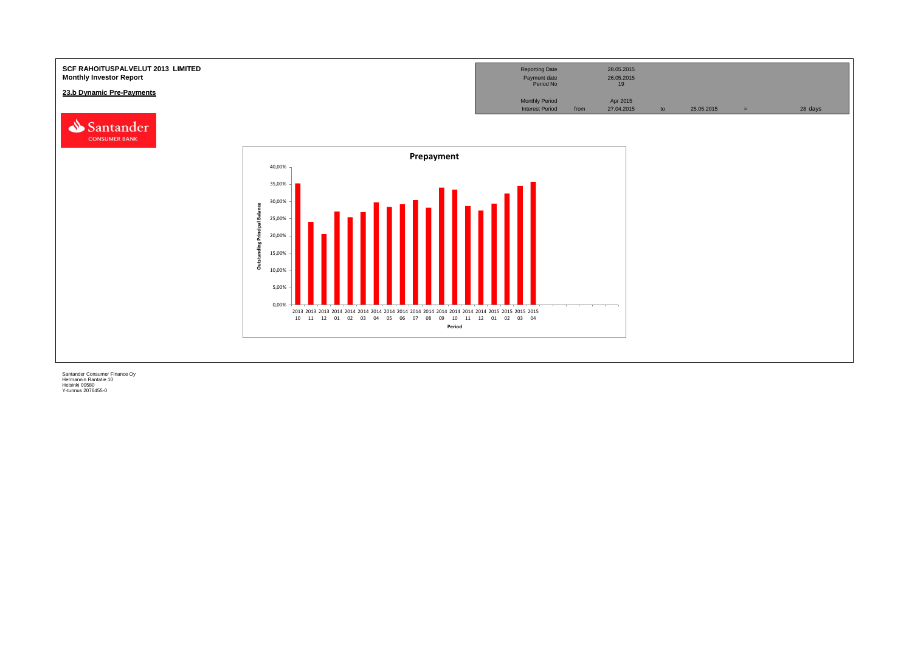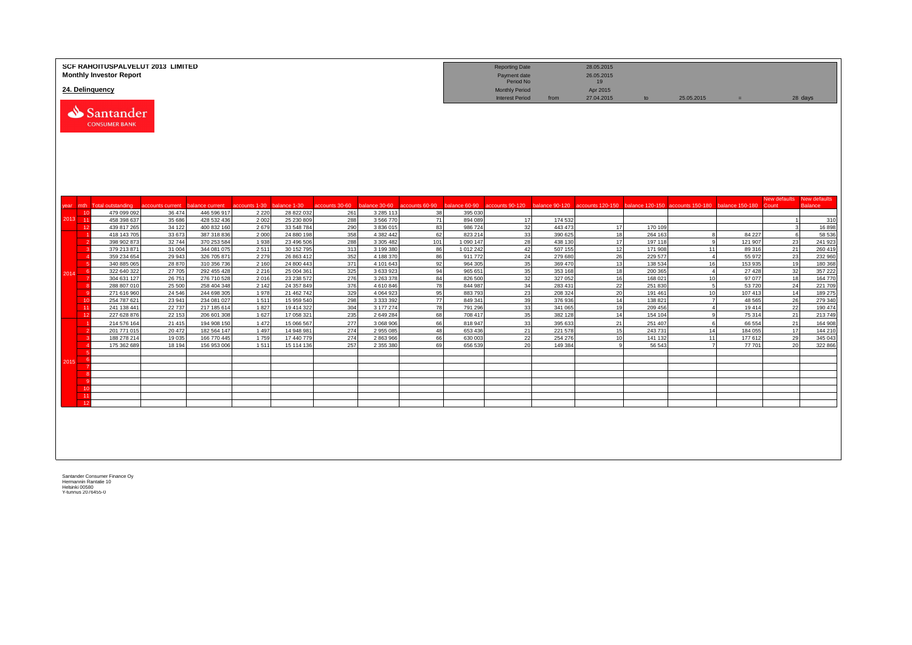|         | <b>SCF RAHOITUSPALVELUT 2013 LIMITED</b><br><b>Monthly Investor Report</b><br>24. Delinquency |                    |                            |                 |                          |                |                        |          |                      | <b>Reporting Date</b><br>Payment date<br>Period No<br><b>Monthly Period</b> |                    | 28.05.2015<br>26.05.2015<br>19<br>Apr 2015 |                    |                                                                                                                                                   |                  |                     |                                |
|---------|-----------------------------------------------------------------------------------------------|--------------------|----------------------------|-----------------|--------------------------|----------------|------------------------|----------|----------------------|-----------------------------------------------------------------------------|--------------------|--------------------------------------------|--------------------|---------------------------------------------------------------------------------------------------------------------------------------------------|------------------|---------------------|--------------------------------|
|         | Santander<br><b>CONSUMER BANK</b>                                                             |                    |                            |                 |                          |                |                        |          |                      | <b>Interest Period</b>                                                      | from               | 27.04.2015                                 | to                 | 25.05.2015                                                                                                                                        | $=$              | 28 days             |                                |
|         | mth Total outstanding                                                                         | accounts current   | balance current            | accounts 1-30   | balance 1-30             | accounts 30-60 |                        |          |                      |                                                                             |                    |                                            |                    | balance 30-60 accounts 60-90 balance 60-90 accounts 90-120 balance 90-120 accounts 120-150 balance 120-150 accounts 150-180 balance 150-180 Count |                  | <b>New defaults</b> | New defaults<br><b>Balance</b> |
| year    | 479 099 092<br>10                                                                             | 36 474             | 446 596 917                | 2 2 2 0         | 28 822 032               | 261            | 3 2 8 5 1 1 3          | 38       | 395 030              |                                                                             |                    |                                            |                    |                                                                                                                                                   |                  |                     |                                |
| 2013 11 | 458 398 637                                                                                   | 35 686             | 428 532 436                | 2 0 0 2         | 25 230 809               | 288            | 3 5 6 7 7 0            | 71       | 894 089              | 17                                                                          | 174 532            |                                            |                    |                                                                                                                                                   |                  | $\overline{1}$      | 310                            |
|         | 12<br>439 817 265                                                                             | 34 122             | 400 832 160                | 2679            | 33 548 784               | 290            | 3 836 015              | 83       | 986724               | 32                                                                          | 443 473            | 17                                         | 170 109            |                                                                                                                                                   |                  | 3                   | 16898                          |
|         | 418 143 705                                                                                   | 33 673             | 387 318 836                | 2 0 0 0         | 24 880 198               | 358            | 4 3 8 2 4 4 2          | 62       | 823 214              | 33                                                                          | 390 625            | 18                                         | 264 163            | -8                                                                                                                                                | 84 227           | 6                   | 58 536                         |
|         | 398 902 873                                                                                   | 32744              | 370 253 584                | 1 9 3 8         | 23 496 506               | 288            | 3 305 482              | 101      | 1 090 147            | 28                                                                          | 438 130            | 17                                         | 197 118            | <b>q</b>                                                                                                                                          | 121 907          | 23                  | 241 923                        |
|         | 379 213 871<br>359 234 654                                                                    | 31 004<br>29 943   | 344 081 075<br>326 705 871 | 2511<br>2 2 7 9 | 30 152 795<br>26 863 41  | 313<br>352     | 3 199 38<br>4 188 370  | 86<br>86 | 1 012 242<br>911 772 | 42<br>24                                                                    | 507 155<br>279 680 | 12<br>26                                   | 171 908<br>229 577 | 11<br>$\overline{4}$                                                                                                                              | 89 316<br>55 972 | 21<br>23            | 260 419<br>232 960             |
|         | 340 885 065                                                                                   | 28 870             | 310 356 736                | 2 1 6 0         | 24 800 44                | 371            | 4 101 643              | 92       | 964 305              | 35                                                                          | 369 470            | 13                                         | 138 53             | 16                                                                                                                                                | 153 935          | 19                  | 180 368                        |
|         | 322 640 322<br>-6                                                                             | 27 705             | 292 455 428                | 2 2 1 6         | 25 004 361               | 325            | 3 633 923              | 94       | 965 651              | 35                                                                          | 353 168            | 18                                         | 200 365            | $\overline{4}$                                                                                                                                    | 27 4 28          | 32                  | 357 222                        |
| 2014    | 304 631 127                                                                                   | 26 751             | 276 710 528                | 2016            | 23 238 572               | 276            | 3 263 378              | 84       | 826 500              | 32                                                                          | 327 052            | 16                                         | 168 021            | 10                                                                                                                                                | 97 077           | 18                  | 164 770                        |
|         | 288 807 010                                                                                   | 25 500             | 258 404 348                | 2 1 4 2         | 24 357 849               | 376            | 4610846                | 78       | 844 987              | 34                                                                          | 283 431            | 22                                         | 251 830            | 5                                                                                                                                                 | 53720            | 24                  | 221 709                        |
|         | 271 616 960                                                                                   | 24 5 46            | 244 698 305                | 1978            | 21 462 742               | 329            | 4 0 6 4 9 2 3          | 95       | 883793               | 23                                                                          | 208 324            | 20                                         | 191 461            | 10                                                                                                                                                | 107 413          | 14                  | 189 275                        |
|         | 254 787 621<br>10<br>11                                                                       | 23 941             | 234 081 027                | 1511            | 15 959 540               | 298            | 3 333 392              | 77       | 849 341              | 39                                                                          | 376936             | 14                                         | 138 821            | $\overline{7}$                                                                                                                                    | 48 5 65          | 26                  | 279 340                        |
|         | 241 138 441<br>12<br>227 628 876                                                              | 22 7 3 7<br>22 153 | 217 185 614<br>206 601 308 | 1827<br>1 6 2 7 | 19 414 322<br>17 058 321 | 304<br>235     | 3 177 274<br>2 649 284 | 78<br>68 | 791 296<br>708 417   | 33<br>35                                                                    | 341 065<br>382 128 | 19<br>14                                   | 209 456<br>154 104 | $\overline{4}$<br>9                                                                                                                               | 19414<br>75 314  | 22<br>21            | 190 474<br>213 749             |
|         | 214 576 164                                                                                   | 21 4 15            | 194 908 150                | 1 4 7 2         | 15 066 567               | 277            | 3 068 906              | 66       | 818 947              | 33                                                                          | 395 633            | 21                                         | 251 407            | -6                                                                                                                                                | 66 554           | 21                  | 164 908                        |
|         | 201 771 015                                                                                   | 20 472             | 182 564 147                | 1 4 9 7         | 14 948 98                | 274            | 2 955 085              | 48       | 653 436              | 21                                                                          | 221 578            | 15                                         | 243731             | 14                                                                                                                                                | 184 055          | 17                  | 144 210                        |
|         | 188 278 214                                                                                   | 19 035             | 166 770 445                | 1759            | 17 440 779               | 274            | 2 863 966              | 66       | 630 003              | 22                                                                          | 254 276            | 10                                         | 141 132            | 11                                                                                                                                                | 177 612          | 29                  | 345 043                        |
|         | 175 362 689                                                                                   | 18 194             | 156 953 006                | 1511            | 15 114 136               | 257            | 2 355 380              | 69       | 656 539              | 20                                                                          | 149 384            |                                            | 56 543             | $\overline{7}$                                                                                                                                    | 77701            | 20 <sup>1</sup>     | 322 866                        |
|         |                                                                                               |                    |                            |                 |                          |                |                        |          |                      |                                                                             |                    |                                            |                    |                                                                                                                                                   |                  |                     |                                |
| 2015    |                                                                                               |                    |                            |                 |                          |                |                        |          |                      |                                                                             |                    |                                            |                    |                                                                                                                                                   |                  |                     |                                |
|         |                                                                                               |                    |                            |                 |                          |                |                        |          |                      |                                                                             |                    |                                            |                    |                                                                                                                                                   |                  |                     |                                |
|         |                                                                                               |                    |                            |                 |                          |                |                        |          |                      |                                                                             |                    |                                            |                    |                                                                                                                                                   |                  |                     |                                |
|         | 10                                                                                            |                    |                            |                 |                          |                |                        |          |                      |                                                                             |                    |                                            |                    |                                                                                                                                                   |                  |                     |                                |
|         | 11                                                                                            |                    |                            |                 |                          |                |                        |          |                      |                                                                             |                    |                                            |                    |                                                                                                                                                   |                  |                     |                                |
|         | 12                                                                                            |                    |                            |                 |                          |                |                        |          |                      |                                                                             |                    |                                            |                    |                                                                                                                                                   |                  |                     |                                |
|         |                                                                                               |                    |                            |                 |                          |                |                        |          |                      |                                                                             |                    |                                            |                    |                                                                                                                                                   |                  |                     |                                |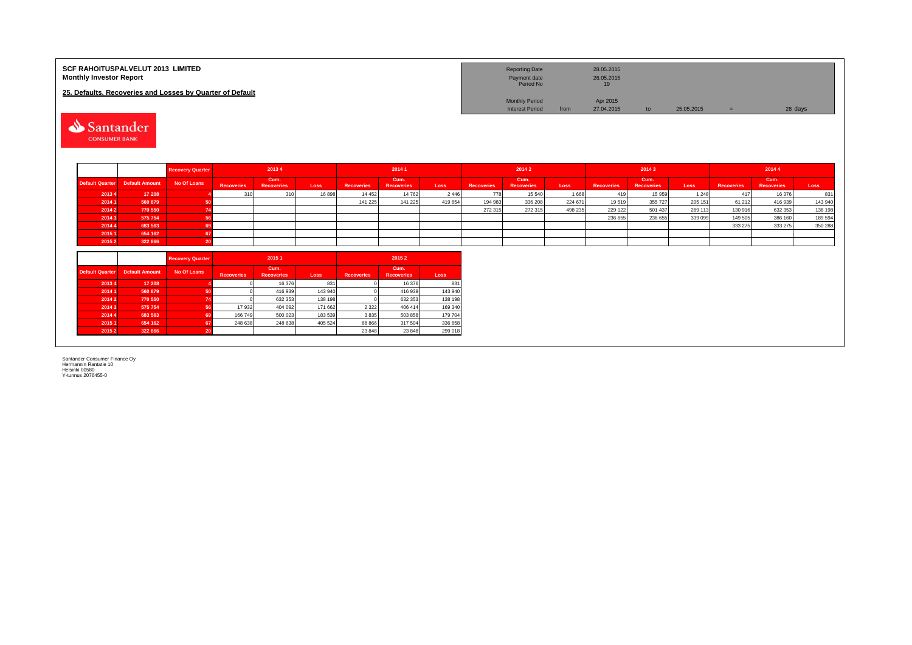| <b>SCF RAHOITUSPALVELUT 2013 LIMITED</b><br><b>Monthly Investor Report</b><br>25. Defaults, Recoveries and Losses by Quarter of Default<br>⇘<br>Santander<br><b>CONSUMER BANK</b> |                       |                         |                   |                           |         |                   |                           |         | <b>Reporting Date</b><br>Payment date<br>Period No<br><b>Monthly Period</b><br><b>Interest Period</b> | from                      | 28.05.2015<br>26.05.2015<br>19<br>Apr 2015<br>27.04.2015 | to                | 25.05.2015                | $=$     | 28 days           |                           |         |
|-----------------------------------------------------------------------------------------------------------------------------------------------------------------------------------|-----------------------|-------------------------|-------------------|---------------------------|---------|-------------------|---------------------------|---------|-------------------------------------------------------------------------------------------------------|---------------------------|----------------------------------------------------------|-------------------|---------------------------|---------|-------------------|---------------------------|---------|
|                                                                                                                                                                                   |                       | <b>Recovery Quarter</b> |                   | 2013 4                    |         |                   | 2014 1                    |         |                                                                                                       | 2014 2                    |                                                          |                   | 20143                     |         |                   | 2014 4                    |         |
| <b>Default Quarter</b>                                                                                                                                                            | <b>Default Amount</b> | <b>No Of Loans</b>      | <b>Recoveries</b> | Cum.<br><b>Recoveries</b> | Loss    | <b>Recoveries</b> | Cum.<br><b>Recoveries</b> | Loss    | <b>Recoveries</b>                                                                                     | Cum.<br><b>Recoveries</b> | Loss                                                     | <b>Recoveries</b> | Cum.<br><b>Recoveries</b> | Loss    | <b>Recoveries</b> | Cum.<br><b>Recoveries</b> | Loss    |
| 20134                                                                                                                                                                             | 17 208                |                         | 310               | 310                       | 16898   | 14 4 5 2          | 14 762                    | 2 4 4 6 | 778                                                                                                   | 15 540                    | 1668                                                     | 419               | 15 959                    | 1 2 4 8 | 417               | 16 376                    | 831     |
| 2014 1                                                                                                                                                                            | 560 879               | 50                      |                   |                           |         | 141 225           | 141 225                   | 419 654 | 194 983                                                                                               | 336 208                   | 224 671                                                  | 19519             | 355 727                   | 205 151 | 61 21 2           | 416 939                   | 143 940 |
| 2014 2                                                                                                                                                                            | 770 550               | 74                      |                   |                           |         |                   |                           |         | 272 315                                                                                               | 272 315                   | 498 235                                                  | 229 122           | 501 437                   | 269 113 | 130 916           | 632 353                   | 138 198 |
| 20143                                                                                                                                                                             | 575 754               | -56                     |                   |                           |         |                   |                           |         |                                                                                                       |                           |                                                          | 236 655           | 236 655                   | 339 099 | 149 505           | 386 160                   | 189 594 |
| 2014 4                                                                                                                                                                            | 683 563               | -69                     |                   |                           |         |                   |                           |         |                                                                                                       |                           |                                                          |                   |                           |         | 333 275           | 333 275                   | 350 288 |
| 20151                                                                                                                                                                             | 654 162               | 67                      |                   |                           |         |                   |                           |         |                                                                                                       |                           |                                                          |                   |                           |         |                   |                           |         |
| 20152                                                                                                                                                                             | 322 866               | -20                     |                   |                           |         |                   |                           |         |                                                                                                       |                           |                                                          |                   |                           |         |                   |                           |         |
|                                                                                                                                                                                   |                       | <b>Recovery Quarter</b> |                   | 2015 1                    |         |                   | 20152                     |         |                                                                                                       |                           |                                                          |                   |                           |         |                   |                           |         |
| <b>Default Quarter</b>                                                                                                                                                            | <b>Default Amount</b> | No Of Loans             | <b>Recoveries</b> | Cum.<br><b>Recoveries</b> | Loss    | <b>Recoveries</b> | Cum.<br>Recoveries        | Loss    |                                                                                                       |                           |                                                          |                   |                           |         |                   |                           |         |
| 20134                                                                                                                                                                             | 17 208                |                         |                   | 16 376                    | 831     |                   | 16 376                    | 831     |                                                                                                       |                           |                                                          |                   |                           |         |                   |                           |         |
| 2014 1                                                                                                                                                                            | 560 879               | 50                      |                   | 416 939                   | 143 940 |                   | 416 939                   | 143 940 |                                                                                                       |                           |                                                          |                   |                           |         |                   |                           |         |
| 2014 2                                                                                                                                                                            | 770 550               | 74                      |                   | 632 353                   | 138 198 |                   | 632 353                   | 138 198 |                                                                                                       |                           |                                                          |                   |                           |         |                   |                           |         |
| 20143                                                                                                                                                                             | 575 754               | 56                      | 17 932            | 404 092                   | 171 662 | 2 3 2 2           | 406 414                   | 169 340 |                                                                                                       |                           |                                                          |                   |                           |         |                   |                           |         |
| 2014 4                                                                                                                                                                            | 683 563               | 69                      | 166 749           | 500 023                   | 183 539 | 3835              | 503 858                   | 179 704 |                                                                                                       |                           |                                                          |                   |                           |         |                   |                           |         |
| 2015 1                                                                                                                                                                            | 654 162               | 67                      | 248 638           | 248 638                   | 405 524 | 68 866            | 317 504                   | 336 658 |                                                                                                       |                           |                                                          |                   |                           |         |                   |                           |         |
| 2015 2                                                                                                                                                                            | 322 866               | -20                     |                   |                           |         | 23 848            | 23 848                    | 299 018 |                                                                                                       |                           |                                                          |                   |                           |         |                   |                           |         |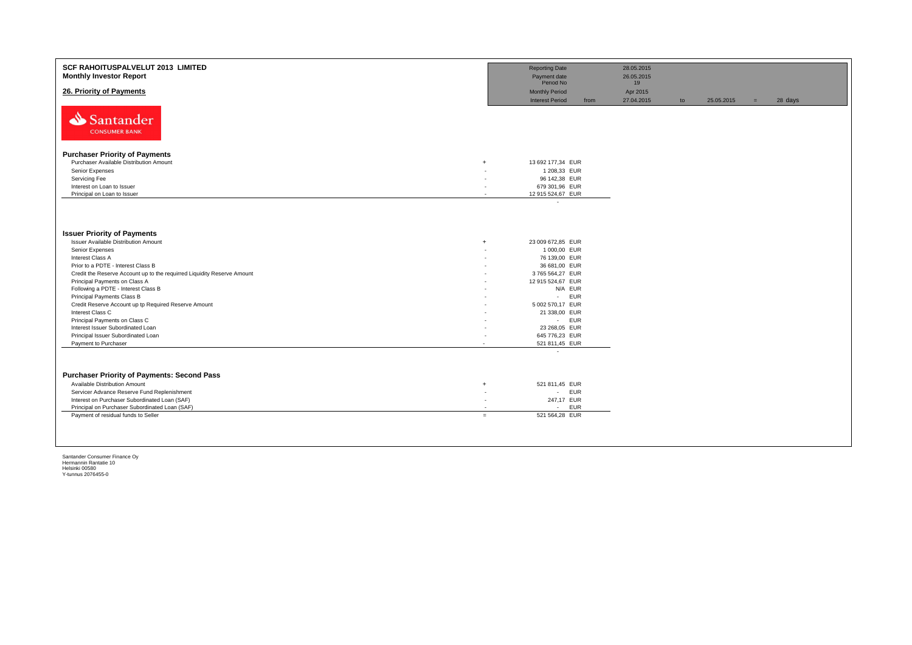| SCF RAHOITUSPALVELUT 2013 LIMITED<br><b>Monthly Investor Report</b>     |                          | <b>Reporting Date</b><br>Payment date<br>Period No |      | 28.05.2015<br>26.05.2015<br>19 |    |            |     |         |
|-------------------------------------------------------------------------|--------------------------|----------------------------------------------------|------|--------------------------------|----|------------|-----|---------|
| 26. Priority of Payments                                                |                          | <b>Monthly Period</b><br><b>Interest Period</b>    | from | Apr 2015<br>27.04.2015         | to | 25.05.2015 | $=$ | 28 days |
| Santander<br><b>CONSUMER BANK</b>                                       |                          |                                                    |      |                                |    |            |     |         |
| <b>Purchaser Priority of Payments</b>                                   |                          |                                                    |      |                                |    |            |     |         |
| Purchaser Available Distribution Amount                                 | $\overline{+}$           | 13 692 177,34 EUR                                  |      |                                |    |            |     |         |
| Senior Expenses                                                         |                          | 1 208,33 EUR                                       |      |                                |    |            |     |         |
| Servicing Fee                                                           | ۰                        | 96 142,38 EUR                                      |      |                                |    |            |     |         |
| Interest on Loan to Issuer                                              |                          | 679 301,96 EUR                                     |      |                                |    |            |     |         |
| Principal on Loan to Issuer                                             | ٠                        | 12 915 524,67 EUR                                  |      |                                |    |            |     |         |
| <b>Issuer Priority of Payments</b>                                      |                          |                                                    |      |                                |    |            |     |         |
| Issuer Available Distribution Amount                                    | $\ddot{}$                | 23 009 672,85 EUR                                  |      |                                |    |            |     |         |
| Senior Expenses                                                         |                          | 1 000,00 EUR                                       |      |                                |    |            |     |         |
| Interest Class A                                                        |                          | 76 139,00 EUR                                      |      |                                |    |            |     |         |
| Prior to a PDTE - Interest Class B                                      |                          | 36 681,00 EUR                                      |      |                                |    |            |     |         |
| Credit the Reserve Account up to the requirred Liquidity Reserve Amount |                          | 3765 564,27 EUR                                    |      |                                |    |            |     |         |
| Principal Payments on Class A                                           |                          | 12 915 524,67 EUR                                  |      |                                |    |            |     |         |
| Following a PDTE - Interest Class B                                     |                          | N/A EUR                                            |      |                                |    |            |     |         |
| Principal Payments Class B                                              |                          | <b>EUR</b><br>$\sim 10$                            |      |                                |    |            |     |         |
| Credit Reserve Account up tp Required Reserve Amount                    |                          | 5 002 570,17 EUR                                   |      |                                |    |            |     |         |
| Interest Class C                                                        |                          | 21 338,00 EUR                                      |      |                                |    |            |     |         |
| Principal Payments on Class C                                           |                          | - EUR                                              |      |                                |    |            |     |         |
| Interest Issuer Subordinated Loan                                       |                          | 23 268,05 EUR<br>645 776,23 EUR                    |      |                                |    |            |     |         |
| Principal Issuer Subordinated Loan<br>Payment to Purchaser              | $\overline{\phantom{a}}$ | 521 811,45 EUR                                     |      |                                |    |            |     |         |
|                                                                         |                          | ٠                                                  |      |                                |    |            |     |         |
|                                                                         |                          |                                                    |      |                                |    |            |     |         |
| <b>Purchaser Priority of Payments: Second Pass</b>                      |                          |                                                    |      |                                |    |            |     |         |
| Available Distribution Amount                                           | $\overline{+}$           | 521 811,45 EUR                                     |      |                                |    |            |     |         |
| Servicer Advance Reserve Fund Replenishment                             | $\overline{\phantom{a}}$ | - EUR                                              |      |                                |    |            |     |         |
| Interest on Purchaser Subordinated Loan (SAF)                           | н.                       | 247,17 EUR                                         |      |                                |    |            |     |         |
| Principal on Purchaser Subordinated Loan (SAF)                          | ٠                        | - EUR                                              |      |                                |    |            |     |         |
| Payment of residual funds to Seller                                     | $=$                      | 521 564,28 EUR                                     |      |                                |    |            |     |         |
|                                                                         |                          |                                                    |      |                                |    |            |     |         |
|                                                                         |                          |                                                    |      |                                |    |            |     |         |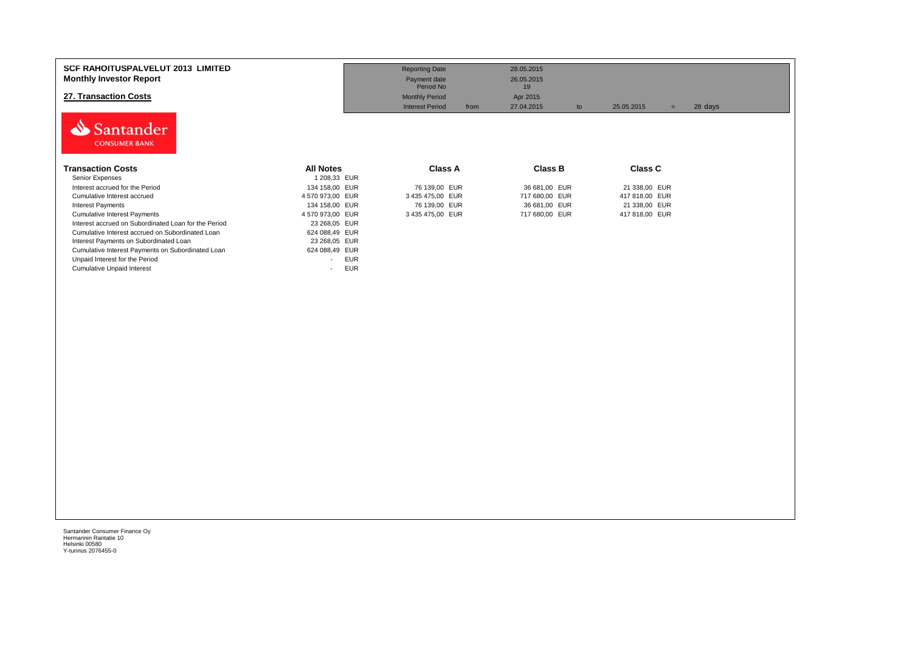| <b>SCF RAHOITUSPALVELUT 2013 LIMITED</b><br><b>Monthly Investor Report</b><br>27. Transaction Costs<br>Santander<br><b>CONSUMER BANK</b>                                                                                                                                                                              |                                                                                                                                                     | <b>Reporting Date</b><br>Payment date<br>Period No<br><b>Monthly Period</b><br><b>Interest Period</b><br>from | 28.05.2015<br>26.05.2015<br>19<br>Apr 2015<br>27.04.2015<br>to | 25.05.2015<br>$=$               | 28 days |
|-----------------------------------------------------------------------------------------------------------------------------------------------------------------------------------------------------------------------------------------------------------------------------------------------------------------------|-----------------------------------------------------------------------------------------------------------------------------------------------------|---------------------------------------------------------------------------------------------------------------|----------------------------------------------------------------|---------------------------------|---------|
| <b>Transaction Costs</b><br>Senior Expenses                                                                                                                                                                                                                                                                           | <b>All Notes</b><br>1 208,33 EUR                                                                                                                    | <b>Class A</b>                                                                                                | Class B                                                        | <b>Class C</b>                  |         |
| Interest accrued for the Period<br>Cumulative Interest accrued                                                                                                                                                                                                                                                        | 134 158,00 EUR<br>4 570 973,00 EUR                                                                                                                  | 76 139,00 EUR<br>3 435 475,00 EUR                                                                             | 36 681,00 EUR<br>717 680,00 EUR                                | 21 338,00 EUR<br>417 818,00 EUR |         |
| <b>Interest Payments</b>                                                                                                                                                                                                                                                                                              | 134 158,00 EUR                                                                                                                                      | 76 139,00 EUR                                                                                                 | 36 681,00 EUR                                                  | 21 338,00 EUR                   |         |
| <b>Cumulative Interest Payments</b><br>Interest accrued on Subordinated Loan for the Period<br>Cumulative Interest accrued on Subordinated Loan<br>Interest Payments on Subordinated Loan<br>Cumulative Interest Payments on Subordinated Loan<br>Unpaid Interest for the Period<br><b>Cumulative Unpaid Interest</b> | 4 570 973,00 EUR<br>23 268,05 EUR<br>624 088,49 EUR<br>23 268,05 EUR<br>624 088,49 EUR<br><b>EUR</b><br>$\overline{\phantom{0}}$<br><b>EUR</b><br>٠ | 3 435 475,00 EUR                                                                                              | 717 680,00 EUR                                                 | 417 818,00 EUR                  |         |